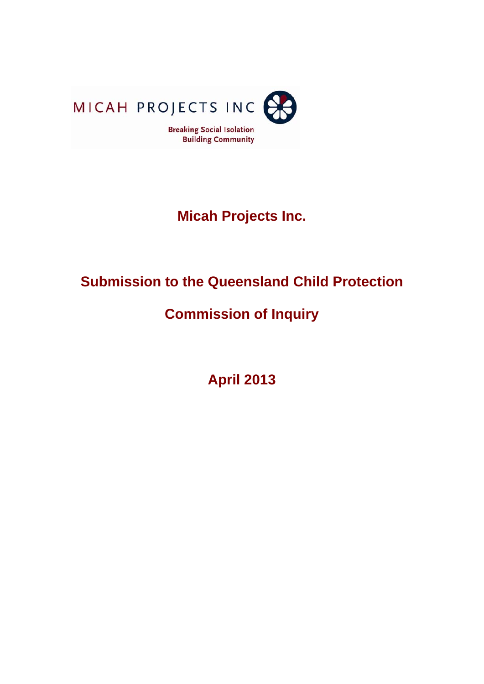

# **Micah Projects Inc.**

# **Submission to the Queensland Child Protection**

# **Commission of Inquiry**

**April 2013**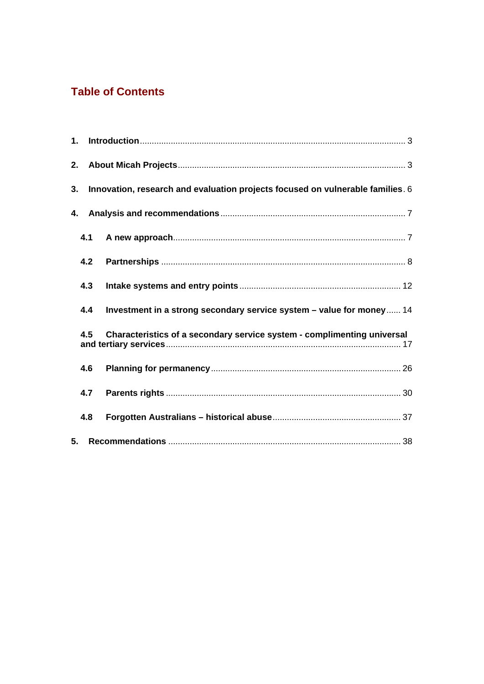# **Table of Contents**

| 1. |                                                                                |                                                                         |  |  |  |  |  |  |  |
|----|--------------------------------------------------------------------------------|-------------------------------------------------------------------------|--|--|--|--|--|--|--|
|    |                                                                                |                                                                         |  |  |  |  |  |  |  |
| 3. | Innovation, research and evaluation projects focused on vulnerable families. 6 |                                                                         |  |  |  |  |  |  |  |
| 4. |                                                                                |                                                                         |  |  |  |  |  |  |  |
|    | 4.1                                                                            |                                                                         |  |  |  |  |  |  |  |
|    | 4.2                                                                            |                                                                         |  |  |  |  |  |  |  |
|    | 4.3                                                                            |                                                                         |  |  |  |  |  |  |  |
|    | 4.4                                                                            | Investment in a strong secondary service system - value for money 14    |  |  |  |  |  |  |  |
|    | 4.5                                                                            | Characteristics of a secondary service system - complimenting universal |  |  |  |  |  |  |  |
|    | 4.6                                                                            |                                                                         |  |  |  |  |  |  |  |
|    | 4.7                                                                            |                                                                         |  |  |  |  |  |  |  |
|    | 4.8                                                                            |                                                                         |  |  |  |  |  |  |  |
| 5. |                                                                                |                                                                         |  |  |  |  |  |  |  |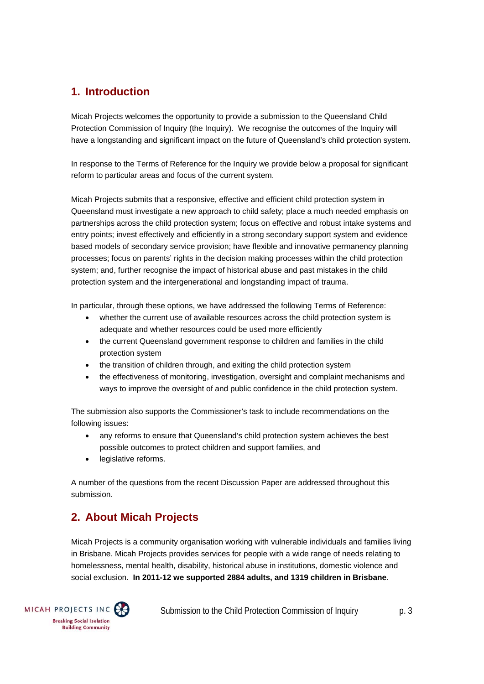# **1. Introduction**

Micah Projects welcomes the opportunity to provide a submission to the Queensland Child Protection Commission of Inquiry (the Inquiry). We recognise the outcomes of the Inquiry will have a longstanding and significant impact on the future of Queensland's child protection system.

In response to the Terms of Reference for the Inquiry we provide below a proposal for significant reform to particular areas and focus of the current system.

Micah Projects submits that a responsive, effective and efficient child protection system in Queensland must investigate a new approach to child safety; place a much needed emphasis on partnerships across the child protection system; focus on effective and robust intake systems and entry points; invest effectively and efficiently in a strong secondary support system and evidence based models of secondary service provision; have flexible and innovative permanency planning processes; focus on parents' rights in the decision making processes within the child protection system; and, further recognise the impact of historical abuse and past mistakes in the child protection system and the intergenerational and longstanding impact of trauma.

In particular, through these options, we have addressed the following Terms of Reference:

- whether the current use of available resources across the child protection system is adequate and whether resources could be used more efficiently
- the current Queensland government response to children and families in the child protection system
- the transition of children through, and exiting the child protection system
- the effectiveness of monitoring, investigation, oversight and complaint mechanisms and ways to improve the oversight of and public confidence in the child protection system.

The submission also supports the Commissioner's task to include recommendations on the following issues:

- any reforms to ensure that Queensland's child protection system achieves the best possible outcomes to protect children and support families, and
- legislative reforms.

A number of the questions from the recent Discussion Paper are addressed throughout this submission.

# **2. About Micah Projects**

Micah Projects is a community organisation working with vulnerable individuals and families living in Brisbane. Micah Projects provides services for people with a wide range of needs relating to homelessness, mental health, disability, historical abuse in institutions, domestic violence and social exclusion. **In 2011-12 we supported 2884 adults, and 1319 children in Brisbane**.

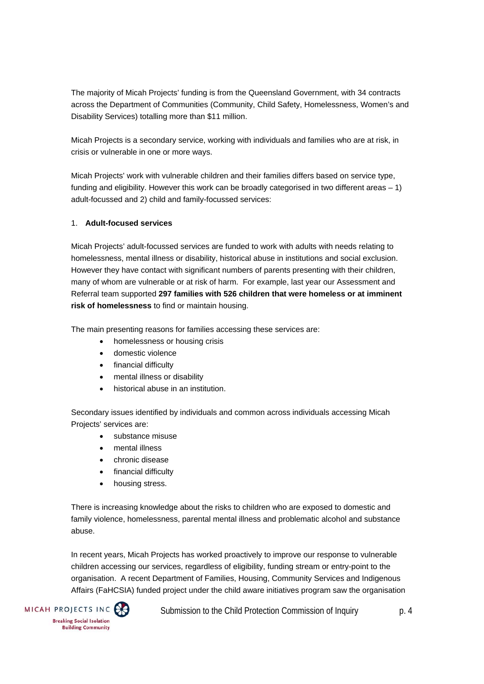The majority of Micah Projects' funding is from the Queensland Government, with 34 contracts across the Department of Communities (Community, Child Safety, Homelessness, Women's and Disability Services) totalling more than \$11 million.

Micah Projects is a secondary service, working with individuals and families who are at risk, in crisis or vulnerable in one or more ways.

Micah Projects' work with vulnerable children and their families differs based on service type, funding and eligibility. However this work can be broadly categorised in two different areas  $-1$ ) adult-focussed and 2) child and family-focussed services:

#### 1. **Adult-focused services**

Micah Projects' adult-focussed services are funded to work with adults with needs relating to homelessness, mental illness or disability, historical abuse in institutions and social exclusion. However they have contact with significant numbers of parents presenting with their children, many of whom are vulnerable or at risk of harm. For example, last year our Assessment and Referral team supported **297 families with 526 children that were homeless or at imminent risk of homelessness** to find or maintain housing.

The main presenting reasons for families accessing these services are:

- homelessness or housing crisis
- domestic violence
- financial difficulty
- mental illness or disability
- historical abuse in an institution.

Secondary issues identified by individuals and common across individuals accessing Micah Projects' services are:

- substance misuse
- mental illness
- chronic disease
- financial difficulty
- housing stress.

There is increasing knowledge about the risks to children who are exposed to domestic and family violence, homelessness, parental mental illness and problematic alcohol and substance abuse.

In recent years, Micah Projects has worked proactively to improve our response to vulnerable children accessing our services, regardless of eligibility, funding stream or entry-point to the organisation. A recent Department of Families, Housing, Community Services and Indigenous Affairs (FaHCSIA) funded project under the child aware initiatives program saw the organisation

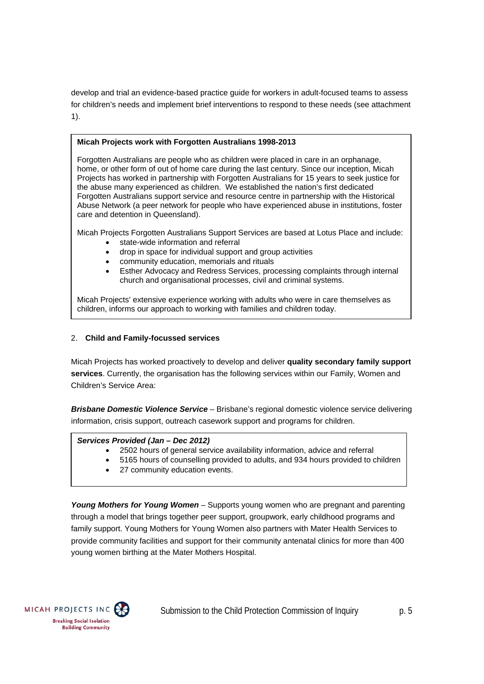develop and trial an evidence-based practice guide for workers in adult-focused teams to assess for children's needs and implement brief interventions to respond to these needs (see attachment 1).

#### **Micah Projects work with Forgotten Australians 1998-2013**

Forgotten Australians are people who as children were placed in care in an orphanage, home, or other form of out of home care during the last century. Since our inception, Micah Projects has worked in partnership with Forgotten Australians for 15 years to seek justice for the abuse many experienced as children. We established the nation's first dedicated Forgotten Australians support service and resource centre in partnership with the Historical Abuse Network (a peer network for people who have experienced abuse in institutions, foster care and detention in Queensland).

Micah Projects Forgotten Australians Support Services are based at Lotus Place and include:

- state-wide information and referral
- drop in space for individual support and group activities
- community education, memorials and rituals
- Esther Advocacy and Redress Services, processing complaints through internal church and organisational processes, civil and criminal systems.

Micah Projects' extensive experience working with adults who were in care themselves as children, informs our approach to working with families and children today.

#### 2. **Child and Family-focussed services**

Micah Projects has worked proactively to develop and deliver **quality secondary family support services**. Currently, the organisation has the following services within our Family, Women and Children's Service Area:

*Brisbane Domestic Violence Service* – Brisbane's regional domestic violence service delivering information, crisis support, outreach casework support and programs for children.

#### *Services Provided (Jan – Dec 2012)*

- 2502 hours of general service availability information, advice and referral
- 5165 hours of counselling provided to adults, and 934 hours provided to children
- 27 community education events.

*Young Mothers for Young Women –* Supports young women who are pregnant and parenting through a model that brings together peer support, groupwork, early childhood programs and family support. Young Mothers for Young Women also partners with Mater Health Services to provide community facilities and support for their community antenatal clinics for more than 400 young women birthing at the Mater Mothers Hospital.

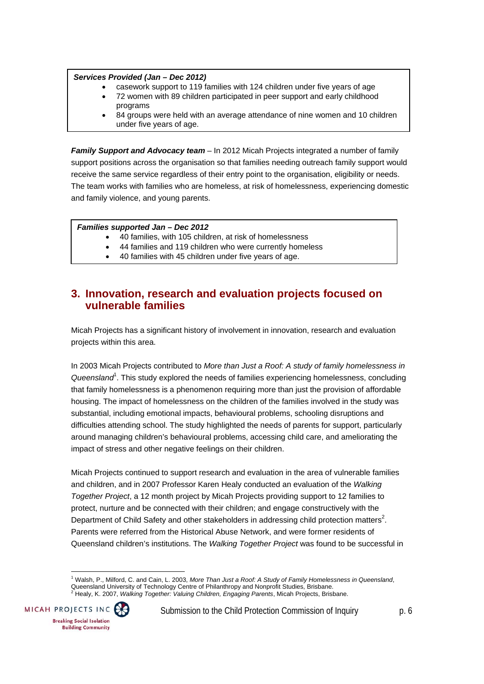#### *Services Provided (Jan – Dec 2012)*

- casework support to 119 families with 124 children under five years of age
- 72 women with 89 children participated in peer support and early childhood programs
- 84 groups were held with an average attendance of nine women and 10 children under five years of age.

*Family Support and Advocacy team –* In 2012 Micah Projects integrated a number of family support positions across the organisation so that families needing outreach family support would receive the same service regardless of their entry point to the organisation, eligibility or needs. The team works with families who are homeless, at risk of homelessness, experiencing domestic and family violence, and young parents.

#### *Families supported Jan – Dec 2012*

- 40 families, with 105 children, at risk of homelessness
- 44 families and 119 children who were currently homeless
- 40 families with 45 children under five years of age.

## **3. Innovation, research and evaluation projects focused on vulnerable families**

Micah Projects has a significant history of involvement in innovation, research and evaluation projects within this area.

In 2003 Micah Projects contributed to *More than Just a Roof: A study of family homelessness in*  Queensland<sup>1</sup>. This study explored the needs of families experiencing homelessness, concluding that family homelessness is a phenomenon requiring more than just the provision of affordable housing. The impact of homelessness on the children of the families involved in the study was substantial, including emotional impacts, behavioural problems, schooling disruptions and difficulties attending school. The study highlighted the needs of parents for support, particularly around managing children's behavioural problems, accessing child care, and ameliorating the impact of stress and other negative feelings on their children.

Micah Projects continued to support research and evaluation in the area of vulnerable families and children, and in 2007 Professor Karen Healy conducted an evaluation of the *Walking Together Project*, a 12 month project by Micah Projects providing support to 12 families to protect, nurture and be connected with their children; and engage constructively with the Department of Child Safety and other stakeholders in addressing child protection matters<sup>2</sup>. Parents were referred from the Historical Abuse Network, and were former residents of Queensland children's institutions. The *Walking Together Project* was found to be successful in

 1 Walsh, P., Milford, C. and Cain, L. 2003, *More Than Just a Roof: A Study of Family Homelessness in Queensland*, Queensland University of Technology Centre of Philanthropy and Nonprofit Studies, Brisbane.<br><sup>2</sup> Healy, K. 2007, *Walking Together: Valuing Children, Engaging Parents*, Micah Projects, Brisbane.

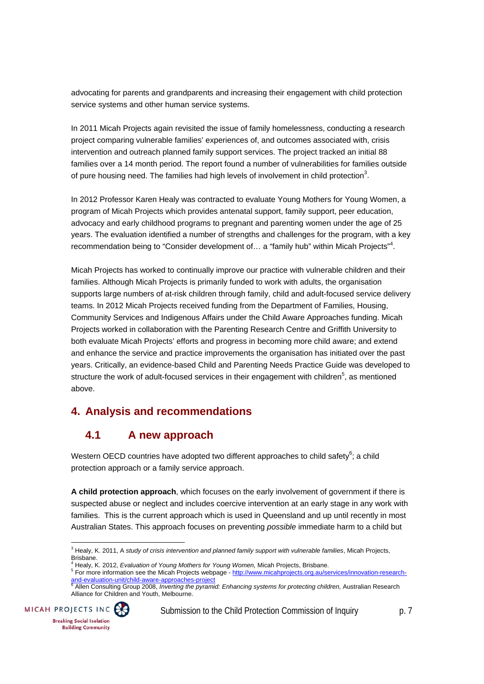advocating for parents and grandparents and increasing their engagement with child protection service systems and other human service systems.

In 2011 Micah Projects again revisited the issue of family homelessness, conducting a research project comparing vulnerable families' experiences of, and outcomes associated with, crisis intervention and outreach planned family support services. The project tracked an initial 88 families over a 14 month period. The report found a number of vulnerabilities for families outside of pure housing need. The families had high levels of involvement in child protection<sup>3</sup>.

In 2012 Professor Karen Healy was contracted to evaluate Young Mothers for Young Women, a program of Micah Projects which provides antenatal support, family support, peer education, advocacy and early childhood programs to pregnant and parenting women under the age of 25 years. The evaluation identified a number of strengths and challenges for the program, with a key recommendation being to "Consider development of... a "family hub" within Micah Projects"<sup>4</sup>.

Micah Projects has worked to continually improve our practice with vulnerable children and their families. Although Micah Projects is primarily funded to work with adults, the organisation supports large numbers of at-risk children through family, child and adult-focused service delivery teams. In 2012 Micah Projects received funding from the Department of Families, Housing, Community Services and Indigenous Affairs under the Child Aware Approaches funding. Micah Projects worked in collaboration with the Parenting Research Centre and Griffith University to both evaluate Micah Projects' efforts and progress in becoming more child aware; and extend and enhance the service and practice improvements the organisation has initiated over the past years. Critically, an evidence-based Child and Parenting Needs Practice Guide was developed to structure the work of adult-focused services in their engagement with children<sup>5</sup>, as mentioned above.

# **4. Analysis and recommendations**

# **4.1 A new approach**

Western OECD countries have adopted two different approaches to child safety $6$ ; a child protection approach or a family service approach.

**A child protection approach**, which focuses on the early involvement of government if there is suspected abuse or neglect and includes coercive intervention at an early stage in any work with families. This is the current approach which is used in Queensland and up until recently in most Australian States. This approach focuses on preventing *possible* immediate harm to a child but

Alliance for Children and Youth, Melbourne.



 3 Healy, K. 2011, A *study of crisis intervention and planned family support with vulnerable families*, Micah Projects, Brisbane.<br><sup>4</sup> Uselu K

Healy, K. 2012, *Evaluation of Young Mothers for Young Women,* Micah Projects, Brisbane. 5

From the Later more information see the Micah Projects webpage - http://www.micahprojects.org.au/services/innovation-research-<mark>and-evaluation-unit/child-aware-approaches-project</mark><br><sup>6</sup> Allen Consulting Group 2008, *Inverting the pyramid: Enhancing systems for protecting children,* Australian Research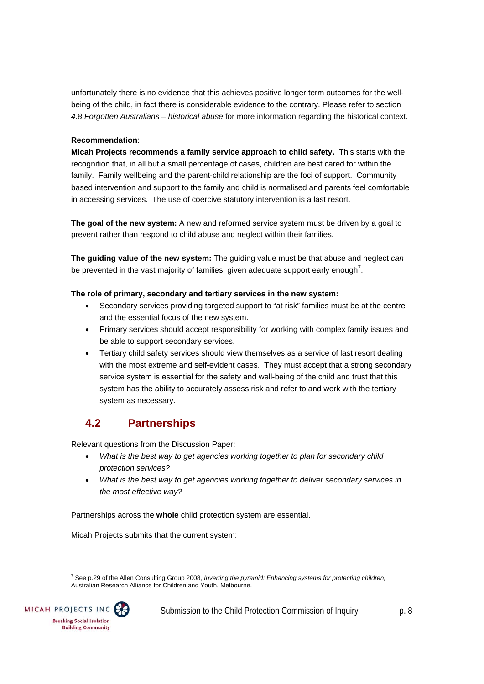unfortunately there is no evidence that this achieves positive longer term outcomes for the wellbeing of the child, in fact there is considerable evidence to the contrary. Please refer to section *4.8 Forgotten Australians – historical abuse* for more information regarding the historical context.

#### **Recommendation**:

**Micah Projects recommends a family service approach to child safety.** This starts with the recognition that, in all but a small percentage of cases, children are best cared for within the family. Family wellbeing and the parent-child relationship are the foci of support. Community based intervention and support to the family and child is normalised and parents feel comfortable in accessing services. The use of coercive statutory intervention is a last resort.

**The goal of the new system:** A new and reformed service system must be driven by a goal to prevent rather than respond to child abuse and neglect within their families.

**The guiding value of the new system:** The guiding value must be that abuse and neglect *can* be prevented in the vast majority of families, given adequate support early enough<sup>7</sup>.

#### **The role of primary, secondary and tertiary services in the new system:**

- Secondary services providing targeted support to "at risk" families must be at the centre and the essential focus of the new system.
- Primary services should accept responsibility for working with complex family issues and be able to support secondary services.
- Tertiary child safety services should view themselves as a service of last resort dealing with the most extreme and self-evident cases. They must accept that a strong secondary service system is essential for the safety and well-being of the child and trust that this system has the ability to accurately assess risk and refer to and work with the tertiary system as necessary.

# **4.2 Partnerships**

Relevant questions from the Discussion Paper:

- *What is the best way to get agencies working together to plan for secondary child protection services?*
- *What is the best way to get agencies working together to deliver secondary services in the most effective way?*

Partnerships across the **whole** child protection system are essential.

Micah Projects submits that the current system:

 7 See p.29 of the Allen Consulting Group 2008, *Inverting the pyramid: Enhancing systems for protecting children,* Australian Research Alliance for Children and Youth, Melbourne.

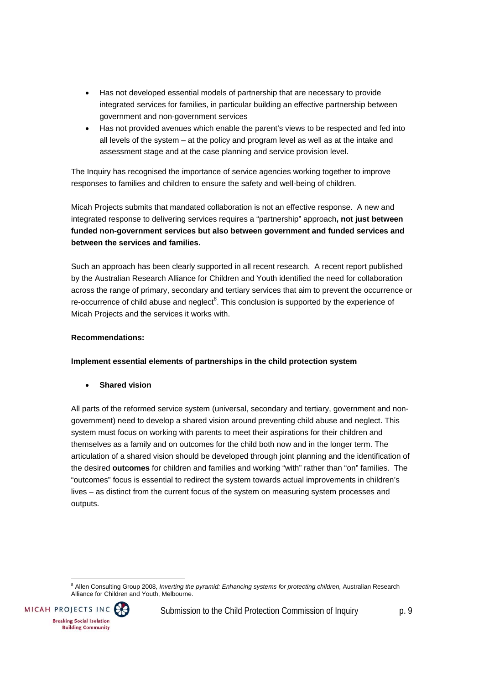- Has not developed essential models of partnership that are necessary to provide integrated services for families, in particular building an effective partnership between government and non-government services
- Has not provided avenues which enable the parent's views to be respected and fed into all levels of the system – at the policy and program level as well as at the intake and assessment stage and at the case planning and service provision level.

The Inquiry has recognised the importance of service agencies working together to improve responses to families and children to ensure the safety and well-being of children.

Micah Projects submits that mandated collaboration is not an effective response. A new and integrated response to delivering services requires a "partnership" approach**, not just between funded non-government services but also between government and funded services and between the services and families.**

Such an approach has been clearly supported in all recent research. A recent report published by the Australian Research Alliance for Children and Youth identified the need for collaboration across the range of primary, secondary and tertiary services that aim to prevent the occurrence or re-occurrence of child abuse and neglect $8$ . This conclusion is supported by the experience of Micah Projects and the services it works with.

#### **Recommendations:**

**Implement essential elements of partnerships in the child protection system** 

**Shared vision**

All parts of the reformed service system (universal, secondary and tertiary, government and nongovernment) need to develop a shared vision around preventing child abuse and neglect. This system must focus on working with parents to meet their aspirations for their children and themselves as a family and on outcomes for the child both now and in the longer term. The articulation of a shared vision should be developed through joint planning and the identification of the desired **outcomes** for children and families and working "with" rather than "on" families. The "outcomes" focus is essential to redirect the system towards actual improvements in children's lives – as distinct from the current focus of the system on measuring system processes and outputs.

 8 Allen Consulting Group 2008, *Inverting the pyramid: Enhancing systems for protecting children,* Australian Research Alliance for Children and Youth, Melbourne.

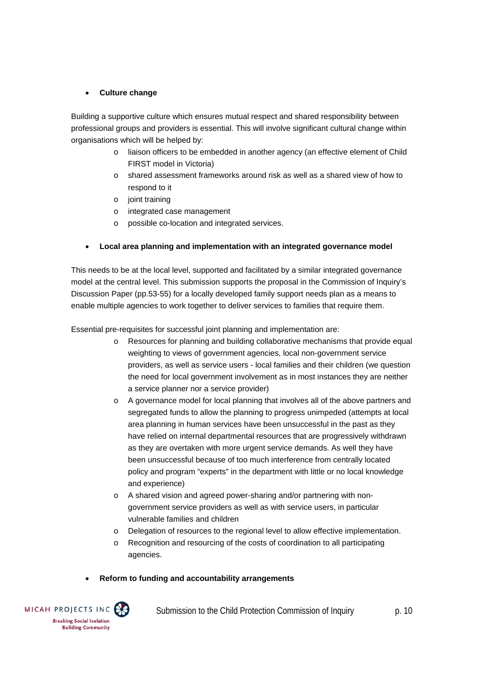#### **Culture change**

Building a supportive culture which ensures mutual respect and shared responsibility between professional groups and providers is essential. This will involve significant cultural change within organisations which will be helped by:

- o liaison officers to be embedded in another agency (an effective element of Child FIRST model in Victoria)
- o shared assessment frameworks around risk as well as a shared view of how to respond to it
- o joint training
- o integrated case management
- o possible co-location and integrated services.

#### **Local area planning and implementation with an integrated governance model**

This needs to be at the local level, supported and facilitated by a similar integrated governance model at the central level. This submission supports the proposal in the Commission of Inquiry's Discussion Paper (pp.53-55) for a locally developed family support needs plan as a means to enable multiple agencies to work together to deliver services to families that require them.

Essential pre-requisites for successful joint planning and implementation are:

- o Resources for planning and building collaborative mechanisms that provide equal weighting to views of government agencies, local non-government service providers, as well as service users - local families and their children (we question the need for local government involvement as in most instances they are neither a service planner nor a service provider)
- o A governance model for local planning that involves all of the above partners and segregated funds to allow the planning to progress unimpeded (attempts at local area planning in human services have been unsuccessful in the past as they have relied on internal departmental resources that are progressively withdrawn as they are overtaken with more urgent service demands. As well they have been unsuccessful because of too much interference from centrally located policy and program "experts" in the department with little or no local knowledge and experience)
- o A shared vision and agreed power-sharing and/or partnering with nongovernment service providers as well as with service users, in particular vulnerable families and children
- o Delegation of resources to the regional level to allow effective implementation.
- o Recognition and resourcing of the costs of coordination to all participating agencies.

#### **Reform to funding and accountability arrangements**

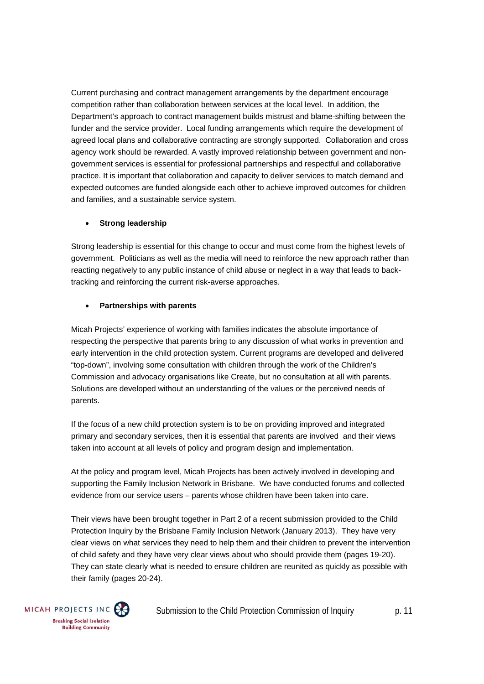Current purchasing and contract management arrangements by the department encourage competition rather than collaboration between services at the local level. In addition, the Department's approach to contract management builds mistrust and blame-shifting between the funder and the service provider. Local funding arrangements which require the development of agreed local plans and collaborative contracting are strongly supported. Collaboration and cross agency work should be rewarded. A vastly improved relationship between government and nongovernment services is essential for professional partnerships and respectful and collaborative practice. It is important that collaboration and capacity to deliver services to match demand and expected outcomes are funded alongside each other to achieve improved outcomes for children and families, and a sustainable service system.

#### **Strong leadership**

Strong leadership is essential for this change to occur and must come from the highest levels of government. Politicians as well as the media will need to reinforce the new approach rather than reacting negatively to any public instance of child abuse or neglect in a way that leads to backtracking and reinforcing the current risk-averse approaches.

#### **Partnerships with parents**

Micah Projects' experience of working with families indicates the absolute importance of respecting the perspective that parents bring to any discussion of what works in prevention and early intervention in the child protection system. Current programs are developed and delivered "top-down", involving some consultation with children through the work of the Children's Commission and advocacy organisations like Create, but no consultation at all with parents. Solutions are developed without an understanding of the values or the perceived needs of parents.

If the focus of a new child protection system is to be on providing improved and integrated primary and secondary services, then it is essential that parents are involved and their views taken into account at all levels of policy and program design and implementation.

At the policy and program level, Micah Projects has been actively involved in developing and supporting the Family Inclusion Network in Brisbane. We have conducted forums and collected evidence from our service users – parents whose children have been taken into care.

Their views have been brought together in Part 2 of a recent submission provided to the Child Protection Inquiry by the Brisbane Family Inclusion Network (January 2013). They have very clear views on what services they need to help them and their children to prevent the intervention of child safety and they have very clear views about who should provide them (pages 19-20). They can state clearly what is needed to ensure children are reunited as quickly as possible with their family (pages 20-24).

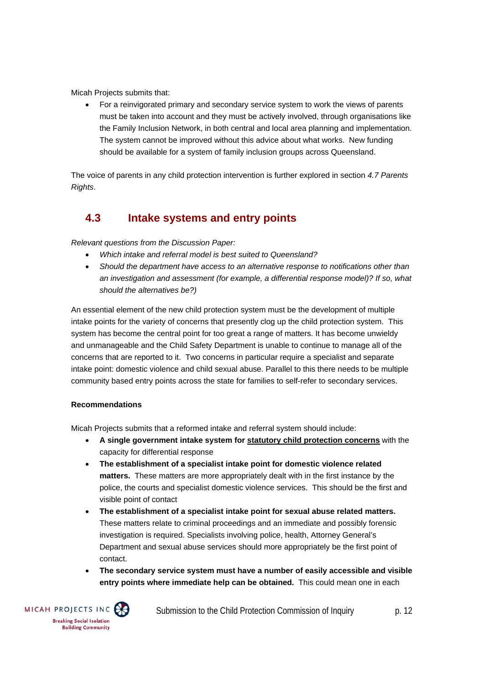Micah Projects submits that:

 For a reinvigorated primary and secondary service system to work the views of parents must be taken into account and they must be actively involved, through organisations like the Family Inclusion Network, in both central and local area planning and implementation. The system cannot be improved without this advice about what works. New funding should be available for a system of family inclusion groups across Queensland.

The voice of parents in any child protection intervention is further explored in section *4.7 Parents Rights*.

## **4.3 Intake systems and entry points**

*Relevant questions from the Discussion Paper:* 

- *Which intake and referral model is best suited to Queensland?*
- *Should the department have access to an alternative response to notifications other than an investigation and assessment (for example, a differential response model)? If so, what should the alternatives be?)*

An essential element of the new child protection system must be the development of multiple intake points for the variety of concerns that presently clog up the child protection system. This system has become the central point for too great a range of matters. It has become unwieldy and unmanageable and the Child Safety Department is unable to continue to manage all of the concerns that are reported to it. Two concerns in particular require a specialist and separate intake point: domestic violence and child sexual abuse. Parallel to this there needs to be multiple community based entry points across the state for families to self-refer to secondary services.

#### **Recommendations**

Micah Projects submits that a reformed intake and referral system should include:

- **A single government intake system for statutory child protection concerns** with the capacity for differential response
- **The establishment of a specialist intake point for domestic violence related matters.** These matters are more appropriately dealt with in the first instance by the police, the courts and specialist domestic violence services. This should be the first and visible point of contact
- **The establishment of a specialist intake point for sexual abuse related matters.** These matters relate to criminal proceedings and an immediate and possibly forensic investigation is required. Specialists involving police, health, Attorney General's Department and sexual abuse services should more appropriately be the first point of contact.
- **The secondary service system must have a number of easily accessible and visible entry points where immediate help can be obtained.** This could mean one in each

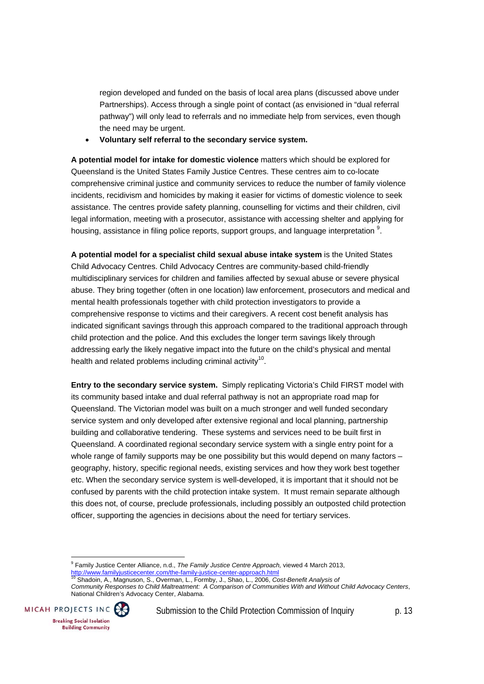region developed and funded on the basis of local area plans (discussed above under Partnerships). Access through a single point of contact (as envisioned in "dual referral pathway") will only lead to referrals and no immediate help from services, even though the need may be urgent.

**Voluntary self referral to the secondary service system.**

**A potential model for intake for domestic violence** matters which should be explored for Queensland is the United States Family Justice Centres. These centres aim to co-locate comprehensive criminal justice and community services to reduce the number of family violence incidents, recidivism and homicides by making it easier for victims of domestic violence to seek assistance. The centres provide safety planning, counselling for victims and their children, civil legal information, meeting with a prosecutor, assistance with accessing shelter and applying for housing, assistance in filing police reports, support groups, and language interpretation  $9$ .

**A potential model for a specialist child sexual abuse intake system** is the United States Child Advocacy Centres. Child Advocacy Centres are community-based child-friendly multidisciplinary services for children and families affected by sexual abuse or severe physical abuse. They bring together (often in one location) law enforcement, prosecutors and medical and mental health professionals together with child protection investigators to provide a comprehensive response to victims and their caregivers. A recent cost benefit analysis has indicated significant savings through this approach compared to the traditional approach through child protection and the police. And this excludes the longer term savings likely through addressing early the likely negative impact into the future on the child's physical and mental health and related problems including criminal activity<sup>10</sup>.

**Entry to the secondary service system.** Simply replicating Victoria's Child FIRST model with its community based intake and dual referral pathway is not an appropriate road map for Queensland. The Victorian model was built on a much stronger and well funded secondary service system and only developed after extensive regional and local planning, partnership building and collaborative tendering. These systems and services need to be built first in Queensland. A coordinated regional secondary service system with a single entry point for a whole range of family supports may be one possibility but this would depend on many factors geography, history, specific regional needs, existing services and how they work best together etc. When the secondary service system is well-developed, it is important that it should not be confused by parents with the child protection intake system. It must remain separate although this does not, of course, preclude professionals, including possibly an outposted child protection officer, supporting the agencies in decisions about the need for tertiary services.

http://www.familyjusticecenter.com/the-family-justice-center-approach.html 10 Shadoin, A., Magnuson, S., Overman, L., Formby, J., Shao, L., 2006, *Cost-Benefit Analysis of Community Responses to Child Maltreatment: A Comparison of Communities With and Without Child Advocacy Centers*, National Children's Advocacy Center, Alabama.



 9 Family Justice Center Alliance, n.d., *The Family Justice Centre Approach,* viewed 4 March 2013,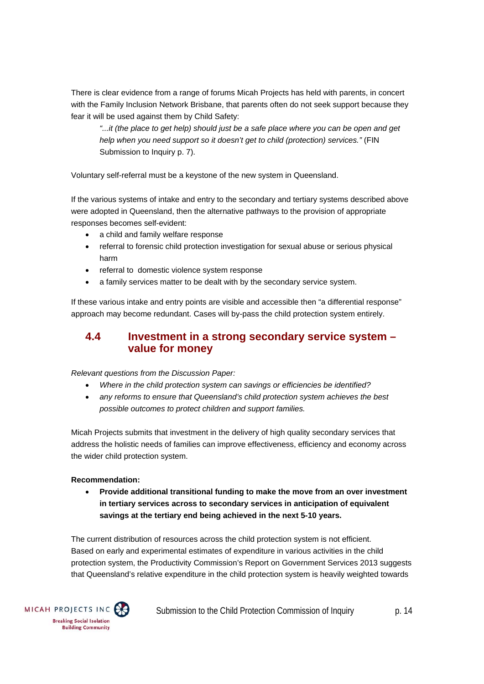There is clear evidence from a range of forums Micah Projects has held with parents, in concert with the Family Inclusion Network Brisbane, that parents often do not seek support because they fear it will be used against them by Child Safety:

*"...it (the place to get help) should just be a safe place where you can be open and get help when you need support so it doesn't get to child (protection) services."* (FIN Submission to Inquiry p. 7).

Voluntary self-referral must be a keystone of the new system in Queensland.

If the various systems of intake and entry to the secondary and tertiary systems described above were adopted in Queensland, then the alternative pathways to the provision of appropriate responses becomes self-evident:

- a child and family welfare response
- referral to forensic child protection investigation for sexual abuse or serious physical harm
- referral to domestic violence system response
- a family services matter to be dealt with by the secondary service system.

If these various intake and entry points are visible and accessible then "a differential response" approach may become redundant. Cases will by-pass the child protection system entirely.

### **4.4 Investment in a strong secondary service system – value for money**

*Relevant questions from the Discussion Paper:* 

- *Where in the child protection system can savings or efficiencies be identified?*
- *any reforms to ensure that Queensland's child protection system achieves the best possible outcomes to protect children and support families.*

Micah Projects submits that investment in the delivery of high quality secondary services that address the holistic needs of families can improve effectiveness, efficiency and economy across the wider child protection system.

#### **Recommendation:**

 **Provide additional transitional funding to make the move from an over investment in tertiary services across to secondary services in anticipation of equivalent savings at the tertiary end being achieved in the next 5-10 years.** 

The current distribution of resources across the child protection system is not efficient. Based on early and experimental estimates of expenditure in various activities in the child protection system, the Productivity Commission's Report on Government Services 2013 suggests that Queensland's relative expenditure in the child protection system is heavily weighted towards

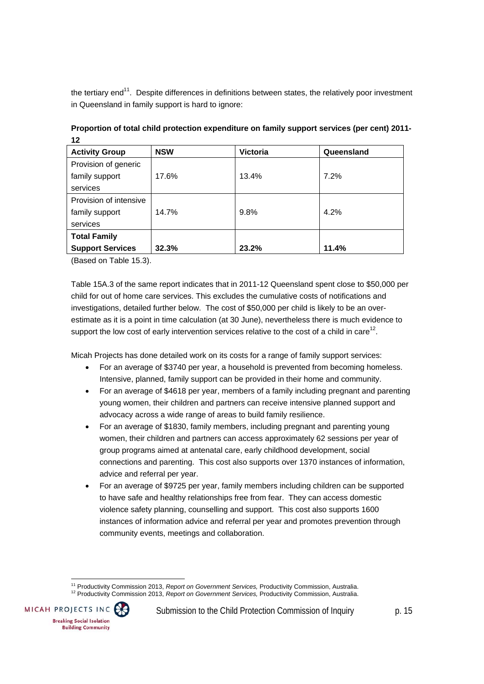the tertiary end $11$ . Despite differences in definitions between states, the relatively poor investment in Queensland in family support is hard to ignore:

| <b>Activity Group</b>   | <b>NSW</b> | <b>Victoria</b> | Queensland |
|-------------------------|------------|-----------------|------------|
| Provision of generic    |            |                 |            |
| family support          | 17.6%      | 13.4%           | 7.2%       |
| services                |            |                 |            |
| Provision of intensive  |            |                 |            |
| family support          | 14.7%      | 9.8%            | 4.2%       |
| services                |            |                 |            |
| <b>Total Family</b>     |            |                 |            |
| <b>Support Services</b> | 32.3%      | 23.2%           | 11.4%      |

**Proportion of total child protection expenditure on family support services (per cent) 2011- 12** 

(Based on Table 15.3).

Table 15A.3 of the same report indicates that in 2011-12 Queensland spent close to \$50,000 per child for out of home care services. This excludes the cumulative costs of notifications and investigations, detailed further below. The cost of \$50,000 per child is likely to be an overestimate as it is a point in time calculation (at 30 June), nevertheless there is much evidence to support the low cost of early intervention services relative to the cost of a child in care<sup>12</sup>.

Micah Projects has done detailed work on its costs for a range of family support services:

- For an average of \$3740 per year, a household is prevented from becoming homeless. Intensive, planned, family support can be provided in their home and community.
- For an average of \$4618 per year, members of a family including pregnant and parenting young women, their children and partners can receive intensive planned support and advocacy across a wide range of areas to build family resilience.
- For an average of \$1830, family members, including pregnant and parenting young women, their children and partners can access approximately 62 sessions per year of group programs aimed at antenatal care, early childhood development, social connections and parenting. This cost also supports over 1370 instances of information, advice and referral per year.
- For an average of \$9725 per year, family members including children can be supported to have safe and healthy relationships free from fear. They can access domestic violence safety planning, counselling and support. This cost also supports 1600 instances of information advice and referral per year and promotes prevention through community events, meetings and collaboration.

<sup>&</sup>lt;sup>11</sup> Productivity Commission 2013, Report on Government Services, Productivity Commission, Australia. 11 Productivity Commission 2013, *Report on Government Services,* Productivity Commission, Australia. 12 Productivity Commission 2013, *Report on Government Services,* Productivity Commission, Australia.

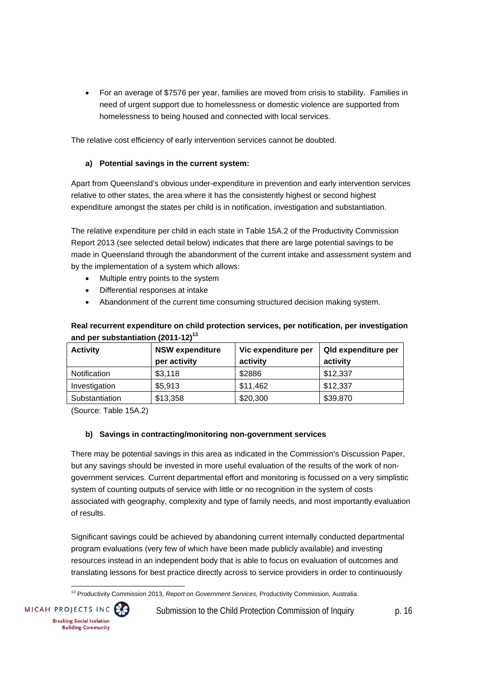For an average of \$7576 per year, families are moved from crisis to stability. Families in need of urgent support due to homelessness or domestic violence are supported from homelessness to being housed and connected with local services.

The relative cost efficiency of early intervention services cannot be doubted.

#### **a) Potential savings in the current system:**

Apart from Queensland's obvious under-expenditure in prevention and early intervention services relative to other states, the area where it has the consistently highest or second highest expenditure amongst the states per child is in notification, investigation and substantiation.

The relative expenditure per child in each state in Table 15A.2 of the Productivity Commission Report 2013 (see selected detail below) indicates that there are large potential savings to be made in Queensland through the abandonment of the current intake and assessment system and by the implementation of a system which allows:

- Multiple entry points to the system
- Differential responses at intake
- Abandonment of the current time consuming structured decision making system.

#### **Real recurrent expenditure on child protection services, per notification, per investigation and per substantiation (2011-12)13**

| <b>Activity</b> | <b>NSW expenditure</b> | Vic expenditure per | <b>Qld expenditure per</b> |
|-----------------|------------------------|---------------------|----------------------------|
|                 | per activity           | activity            | activity                   |
| Notification    | \$3,118                | \$2886              | \$12,337                   |
| Investigation   | \$5,913                | \$11,462            | \$12,337                   |
| Substantiation  | \$13,358               | \$20,300            | \$39,870                   |

(Source: Table 15A.2)

#### **b) Savings in contracting/monitoring non-government services**

There may be potential savings in this area as indicated in the Commission's Discussion Paper, but any savings should be invested in more useful evaluation of the results of the work of nongovernment services. Current departmental effort and monitoring is focussed on a very simplistic system of counting outputs of service with little or no recognition in the system of costs associated with geography, complexity and type of family needs, and most importantly evaluation of results.

Significant savings could be achieved by abandoning current internally conducted departmental program evaluations (very few of which have been made publicly available) and investing resources instead in an independent body that is able to focus on evaluation of outcomes and translating lessons for best practice directly across to service providers in order to continuously

 13 Productivity Commission 2013, *Report on Government Services,* Productivity Commission, Australia.

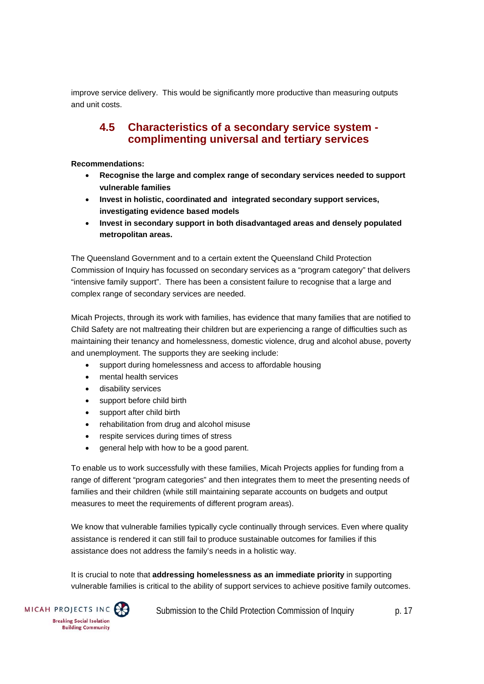improve service delivery. This would be significantly more productive than measuring outputs and unit costs.

### **4.5 Characteristics of a secondary service system complimenting universal and tertiary services**

#### **Recommendations:**

- **Recognise the large and complex range of secondary services needed to support vulnerable families**
- **Invest in holistic, coordinated and integrated secondary support services, investigating evidence based models**
- **Invest in secondary support in both disadvantaged areas and densely populated metropolitan areas.**

The Queensland Government and to a certain extent the Queensland Child Protection Commission of Inquiry has focussed on secondary services as a "program category" that delivers "intensive family support". There has been a consistent failure to recognise that a large and complex range of secondary services are needed.

Micah Projects, through its work with families, has evidence that many families that are notified to Child Safety are not maltreating their children but are experiencing a range of difficulties such as maintaining their tenancy and homelessness, domestic violence, drug and alcohol abuse, poverty and unemployment. The supports they are seeking include:

- support during homelessness and access to affordable housing
- mental health services
- disability services
- support before child birth
- support after child birth
- rehabilitation from drug and alcohol misuse
- respite services during times of stress
- general help with how to be a good parent.

To enable us to work successfully with these families, Micah Projects applies for funding from a range of different "program categories" and then integrates them to meet the presenting needs of families and their children (while still maintaining separate accounts on budgets and output measures to meet the requirements of different program areas).

We know that vulnerable families typically cycle continually through services. Even where quality assistance is rendered it can still fail to produce sustainable outcomes for families if this assistance does not address the family's needs in a holistic way.

It is crucial to note that **addressing homelessness as an immediate priority** in supporting vulnerable families is critical to the ability of support services to achieve positive family outcomes.

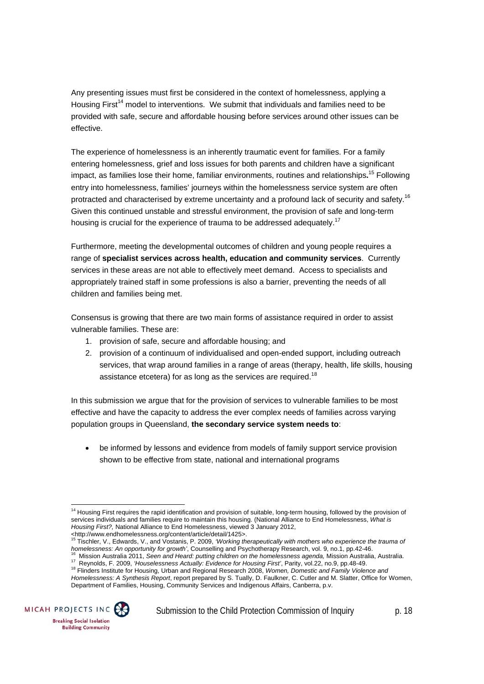Any presenting issues must first be considered in the context of homelessness, applying a Housing First<sup>14</sup> model to interventions. We submit that individuals and families need to be provided with safe, secure and affordable housing before services around other issues can be effective.

The experience of homelessness is an inherently traumatic event for families. For a family entering homelessness, grief and loss issues for both parents and children have a significant impact, as families lose their home, familiar environments, routines and relationships**.** 15 Following entry into homelessness, families' journeys within the homelessness service system are often protracted and characterised by extreme uncertainty and a profound lack of security and safety.<sup>16</sup> Given this continued unstable and stressful environment, the provision of safe and long-term housing is crucial for the experience of trauma to be addressed adequately.<sup>17</sup>

Furthermore, meeting the developmental outcomes of children and young people requires a range of **specialist services across health, education and community services**. Currently services in these areas are not able to effectively meet demand. Access to specialists and appropriately trained staff in some professions is also a barrier, preventing the needs of all children and families being met.

Consensus is growing that there are two main forms of assistance required in order to assist vulnerable families. These are:

- 1. provision of safe, secure and affordable housing; and
- 2. provision of a continuum of individualised and open-ended support, including outreach services, that wrap around families in a range of areas (therapy, health, life skills, housing assistance etcetera) for as long as the services are required.<sup>18</sup>

In this submission we argue that for the provision of services to vulnerable families to be most effective and have the capacity to address the ever complex needs of families across varying population groups in Queensland, **the secondary service system needs to**:

 be informed by lessons and evidence from models of family support service provision shown to be effective from state, national and international programs

homelessness: An opportunity for growth', Counselling and Psychotherapy Research, vol. 9, no.1, pp.42-46.<br><sup>16</sup> Mission Australia 2011, Seen and Heard: putting children on the homelessness agenda, Mission Australia, Austral

*Homelessness: A Synthesis Report*, report prepared by S. Tually, D. Faulkner, C. Cutler and M. Slatter, Office for Women, Department of Families, Housing, Community Services and Indigenous Affairs, Canberra, p.v.



 <sup>14</sup> Housing First requires the rapid identification and provision of suitable, long-term housing, followed by the provision of services individuals and families require to maintain this housing. (National Alliance to End Homelessness, *What is Housing First?,* National Alliance to End Homelessness, viewed 3 January 2012,

<sup>&</sup>lt;http://www.endhomelessness.org/content/article/detail/1425>. 15 Tischler, V., Edwards, V., and Vostanis, P. 2009, *'Working therapeutically with mothers who experience the trauma of*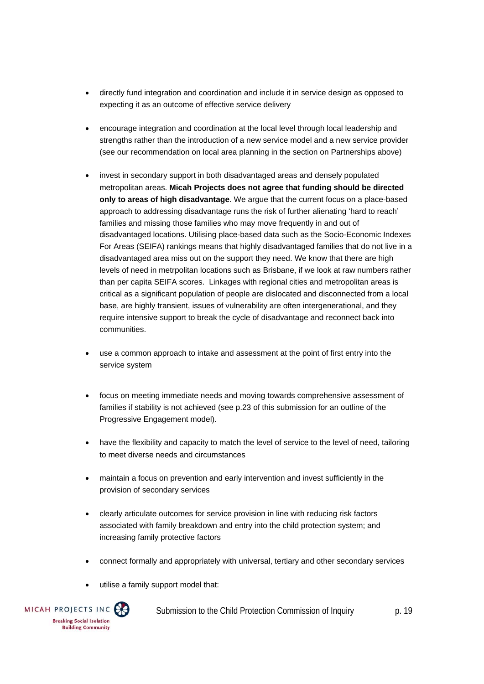- directly fund integration and coordination and include it in service design as opposed to expecting it as an outcome of effective service delivery
- encourage integration and coordination at the local level through local leadership and strengths rather than the introduction of a new service model and a new service provider (see our recommendation on local area planning in the section on Partnerships above)
- invest in secondary support in both disadvantaged areas and densely populated metropolitan areas. **Micah Projects does not agree that funding should be directed only to areas of high disadvantage**. We argue that the current focus on a place-based approach to addressing disadvantage runs the risk of further alienating 'hard to reach' families and missing those families who may move frequently in and out of disadvantaged locations. Utilising place-based data such as the Socio-Economic Indexes For Areas (SEIFA) rankings means that highly disadvantaged families that do not live in a disadvantaged area miss out on the support they need. We know that there are high levels of need in metrpolitan locations such as Brisbane, if we look at raw numbers rather than per capita SEIFA scores. Linkages with regional cities and metropolitan areas is critical as a significant population of people are dislocated and disconnected from a local base, are highly transient, issues of vulnerability are often intergenerational, and they require intensive support to break the cycle of disadvantage and reconnect back into communities.
- use a common approach to intake and assessment at the point of first entry into the service system
- focus on meeting immediate needs and moving towards comprehensive assessment of families if stability is not achieved (see p.23 of this submission for an outline of the Progressive Engagement model).
- have the flexibility and capacity to match the level of service to the level of need, tailoring to meet diverse needs and circumstances
- maintain a focus on prevention and early intervention and invest sufficiently in the provision of secondary services
- clearly articulate outcomes for service provision in line with reducing risk factors associated with family breakdown and entry into the child protection system; and increasing family protective factors
- connect formally and appropriately with universal, tertiary and other secondary services
- utilise a family support model that:

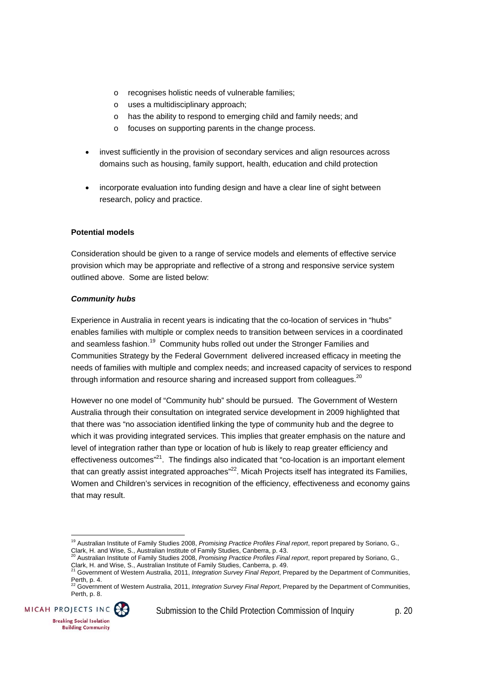- o recognises holistic needs of vulnerable families;
- o uses a multidisciplinary approach;
- o has the ability to respond to emerging child and family needs; and
- o focuses on supporting parents in the change process.
- invest sufficiently in the provision of secondary services and align resources across domains such as housing, family support, health, education and child protection
- incorporate evaluation into funding design and have a clear line of sight between research, policy and practice.

#### **Potential models**

Consideration should be given to a range of service models and elements of effective service provision which may be appropriate and reflective of a strong and responsive service system outlined above. Some are listed below:

#### *Community hubs*

Experience in Australia in recent years is indicating that the co-location of services in "hubs" enables families with multiple or complex needs to transition between services in a coordinated and seamless fashion.<sup>19</sup> Community hubs rolled out under the Stronger Families and Communities Strategy by the Federal Government delivered increased efficacy in meeting the needs of families with multiple and complex needs; and increased capacity of services to respond through information and resource sharing and increased support from colleagues. $^{20}$ 

However no one model of "Community hub" should be pursued. The Government of Western Australia through their consultation on integrated service development in 2009 highlighted that that there was "no association identified linking the type of community hub and the degree to which it was providing integrated services. This implies that greater emphasis on the nature and level of integration rather than type or location of hub is likely to reap greater efficiency and effectiveness outcomes"<sup>21</sup>. The findings also indicated that "co-location is an important element that can greatly assist integrated approaches"<sup>22</sup>. Micah Projects itself has integrated its Families, Women and Children's services in recognition of the efficiency, effectiveness and economy gains that may result.

Perth, p. 8.



 19 Australian Institute of Family Studies 2008, *Promising Practice Profiles Final report*, report prepared by Soriano, G., Clark, H. and Wise, S., Australian Institute of Family Studies, Canberra, p. 43.

<sup>20</sup> Australian Institute of Family Studies 2008, *Promising Practice Profiles Final report*, report prepared by Soriano, G., Clark, H. and Wise, S., Australian Institute of Family Studies, Canberra, p. 49. 21 Government of Western Australia, 2011, *Integration Survey Final Report*, Prepared by the Department of Communities,

Perth, p. 4.<br><sup>22</sup> Government of Western Australia, 2011, *Integration Survey Final Report*, Prepared by the Department of Communities,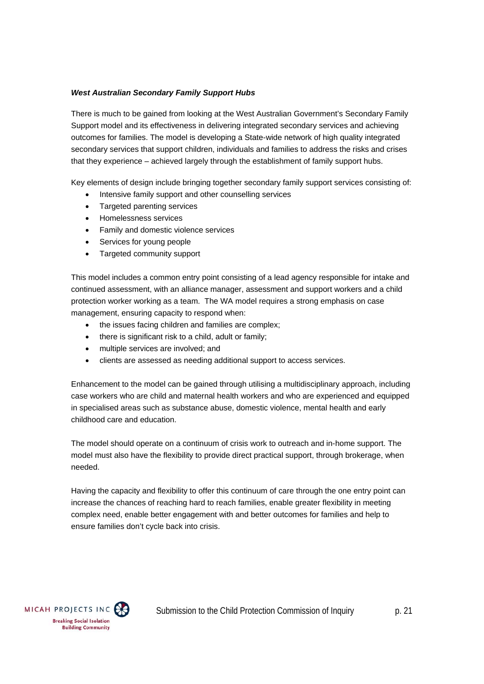#### *West Australian Secondary Family Support Hubs*

There is much to be gained from looking at the West Australian Government's Secondary Family Support model and its effectiveness in delivering integrated secondary services and achieving outcomes for families. The model is developing a State-wide network of high quality integrated secondary services that support children, individuals and families to address the risks and crises that they experience – achieved largely through the establishment of family support hubs.

Key elements of design include bringing together secondary family support services consisting of:

- Intensive family support and other counselling services
- Targeted parenting services
- Homelessness services
- Family and domestic violence services
- Services for young people
- Targeted community support

This model includes a common entry point consisting of a lead agency responsible for intake and continued assessment, with an alliance manager, assessment and support workers and a child protection worker working as a team. The WA model requires a strong emphasis on case management, ensuring capacity to respond when:

- the issues facing children and families are complex;
- there is significant risk to a child, adult or family:
- multiple services are involved; and
- clients are assessed as needing additional support to access services.

Enhancement to the model can be gained through utilising a multidisciplinary approach, including case workers who are child and maternal health workers and who are experienced and equipped in specialised areas such as substance abuse, domestic violence, mental health and early childhood care and education.

The model should operate on a continuum of crisis work to outreach and in-home support. The model must also have the flexibility to provide direct practical support, through brokerage, when needed.

Having the capacity and flexibility to offer this continuum of care through the one entry point can increase the chances of reaching hard to reach families, enable greater flexibility in meeting complex need, enable better engagement with and better outcomes for families and help to ensure families don't cycle back into crisis.

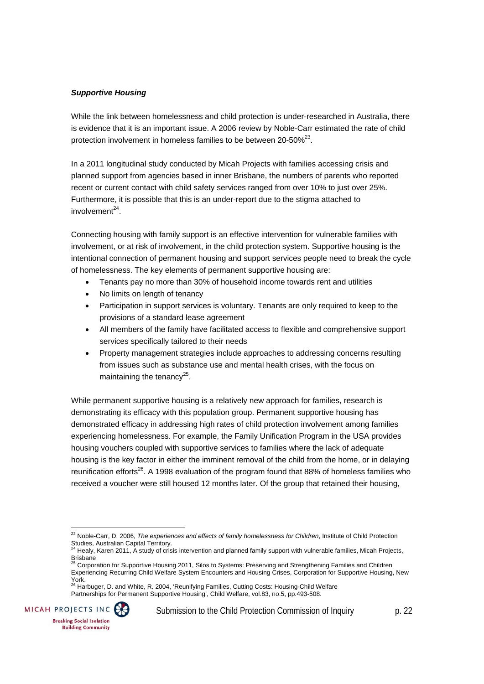#### *Supportive Housing*

While the link between homelessness and child protection is under-researched in Australia, there is evidence that it is an important issue. A 2006 review by Noble-Carr estimated the rate of child protection involvement in homeless families to be between 20-50%<sup>23</sup>.

In a 2011 longitudinal study conducted by Micah Projects with families accessing crisis and planned support from agencies based in inner Brisbane, the numbers of parents who reported recent or current contact with child safety services ranged from over 10% to just over 25%. Furthermore, it is possible that this is an under-report due to the stigma attached to  $involvement<sup>24</sup>$ 

Connecting housing with family support is an effective intervention for vulnerable families with involvement, or at risk of involvement, in the child protection system. Supportive housing is the intentional connection of permanent housing and support services people need to break the cycle of homelessness. The key elements of permanent supportive housing are:

- Tenants pay no more than 30% of household income towards rent and utilities
- No limits on length of tenancy
- Participation in support services is voluntary. Tenants are only required to keep to the provisions of a standard lease agreement
- All members of the family have facilitated access to flexible and comprehensive support services specifically tailored to their needs
- Property management strategies include approaches to addressing concerns resulting from issues such as substance use and mental health crises, with the focus on maintaining the tenancy $^{25}$ .

While permanent supportive housing is a relatively new approach for families, research is demonstrating its efficacy with this population group. Permanent supportive housing has demonstrated efficacy in addressing high rates of child protection involvement among families experiencing homelessness. For example, the Family Unification Program in the USA provides housing vouchers coupled with supportive services to families where the lack of adequate housing is the key factor in either the imminent removal of the child from the home, or in delaying reunification efforts<sup>26</sup>. A 1998 evaluation of the program found that 88% of homeless families who received a voucher were still housed 12 months later. Of the group that retained their housing,

Partnerships for Permanent Supportive Housing', Child Welfare, vol.83, no.5, pp.493-508.



 $\overline{a}$ 

<sup>&</sup>lt;sup>23</sup> Noble-Carr, D. 2006, *The experiences and effects of family homelessness for Children*, Institute of Child Protection Studies, Australian Capital Territory.

Healy, Karen 2011, A study of crisis intervention and planned family support with vulnerable families, Micah Projects, Brisbane<br><sup>25</sup> Corporation for Supportive Housing 2011, Silos to Systems: Preserving and Strengthening Families and Children

Experiencing Recurring Child Welfare System Encounters and Housing Crises, Corporation for Supportive Housing, New York.<br><sup>26</sup> Harbuger, D. and White, R. 2004, 'Reunifying Families, Cutting Costs: Housing-Child Welfare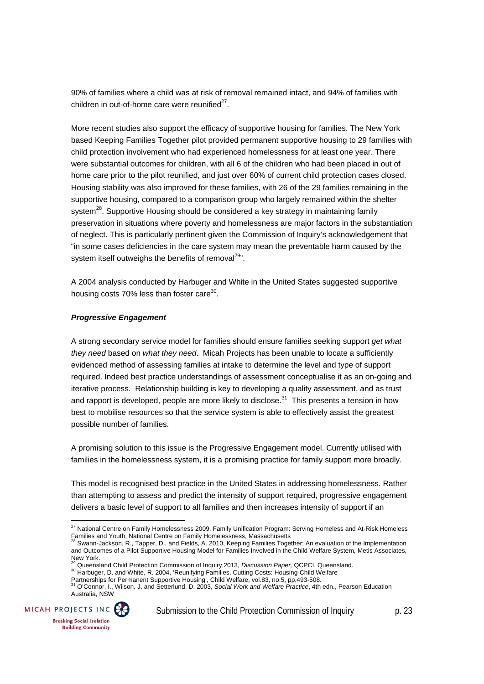90% of families where a child was at risk of removal remained intact, and 94% of families with children in out-of-home care were reunified $27$ .

More recent studies also support the efficacy of supportive housing for families. The New York based Keeping Families Together pilot provided permanent supportive housing to 29 families with child protection involvement who had experienced homelessness for at least one year. There were substantial outcomes for children, with all 6 of the children who had been placed in out of home care prior to the pilot reunified, and just over 60% of current child protection cases closed. Housing stability was also improved for these families, with 26 of the 29 families remaining in the supportive housing, compared to a comparison group who largely remained within the shelter system<sup>28</sup>. Supportive Housing should be considered a key strategy in maintaining family preservation in situations where poverty and homelessness are major factors in the substantiation of neglect. This is particularly pertinent given the Commission of Inquiry's acknowledgement that "in some cases deficiencies in the care system may mean the preventable harm caused by the system itself outweighs the benefits of removal<sup>29</sup>".

A 2004 analysis conducted by Harbuger and White in the United States suggested supportive housing costs 70% less than foster care<sup>30</sup>.

#### *Progressive Engagement*

A strong secondary service model for families should ensure families seeking support *get what they need* based on *what they need*. Micah Projects has been unable to locate a sufficiently evidenced method of assessing families at intake to determine the level and type of support required. Indeed best practice understandings of assessment conceptualise it as an on-going and iterative process. Relationship building is key to developing a quality assessment, and as trust and rapport is developed, people are more likely to disclose.<sup>31</sup> This presents a tension in how best to mobilise resources so that the service system is able to effectively assist the greatest possible number of families.

A promising solution to this issue is the Progressive Engagement model. Currently utilised with families in the homelessness system, it is a promising practice for family support more broadly.

This model is recognised best practice in the United States in addressing homelessness. Rather than attempting to assess and predict the intensity of support required, progressive engagement delivers a basic level of support to all families and then increases intensity of support if an

Australia, NSW



 $^{27}$  National Centre on Family Homelessness 2009, Family Unification Program: Serving Homeless and At-Risk Homeless Families and Youth, National Centre on Family Homelessness, Massachusetts

<sup>28</sup> Swann-Jackson, R., Tapper, D., and Fields, A. 2010, Keeping Families Together: An evaluation of the Implementation and Outcomes of a Pilot Supportive Housing Model for Families Involved in the Child Welfare System, Metis Associates, New York.<br><sup>29</sup> Queensland Child Protection Commission of Inquiry 2013, Discussion Paper, QCPCI, Queensland.

<sup>&</sup>lt;sup>30</sup> Harbuger, D. and White, R. 2004, 'Reunifying Families, Cutting Costs: Housing-Child Welfare

Partnerships for Permanent Supportive Housing', Child Welfare, vol.83, no.5, pp.493-508. 31 O'Connor, I., Wilson, J. and Setterlund, D. 2003, *Social Work and Welfare Practice*, 4th edn., Pearson Education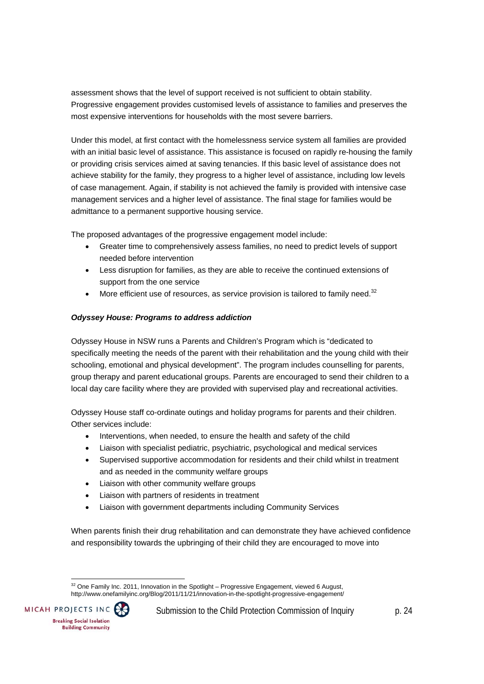assessment shows that the level of support received is not sufficient to obtain stability. Progressive engagement provides customised levels of assistance to families and preserves the most expensive interventions for households with the most severe barriers.

Under this model, at first contact with the homelessness service system all families are provided with an initial basic level of assistance. This assistance is focused on rapidly re-housing the family or providing crisis services aimed at saving tenancies. If this basic level of assistance does not achieve stability for the family, they progress to a higher level of assistance, including low levels of case management. Again, if stability is not achieved the family is provided with intensive case management services and a higher level of assistance. The final stage for families would be admittance to a permanent supportive housing service.

The proposed advantages of the progressive engagement model include:

- Greater time to comprehensively assess families, no need to predict levels of support needed before intervention
- Less disruption for families, as they are able to receive the continued extensions of support from the one service
- $\bullet$  More efficient use of resources, as service provision is tailored to family need.<sup>32</sup>

#### *Odyssey House: Programs to address addiction*

Odyssey House in NSW runs a Parents and Children's Program which is "dedicated to specifically meeting the needs of the parent with their rehabilitation and the young child with their schooling, emotional and physical development". The program includes counselling for parents, group therapy and parent educational groups. Parents are encouraged to send their children to a local day care facility where they are provided with supervised play and recreational activities.

Odyssey House staff co-ordinate outings and holiday programs for parents and their children. Other services include:

- Interventions, when needed, to ensure the health and safety of the child
- Liaison with specialist pediatric, psychiatric, psychological and medical services
- Supervised supportive accommodation for residents and their child whilst in treatment and as needed in the community welfare groups
- Liaison with other community welfare groups
- Liaison with partners of residents in treatment
- Liaison with government departments including Community Services

When parents finish their drug rehabilitation and can demonstrate they have achieved confidence and responsibility towards the upbringing of their child they are encouraged to move into

  $32$  One Family Inc. 2011, Innovation in the Spotlight – Progressive Engagement, viewed 6 August, http://www.onefamilyinc.org/Blog/2011/11/21/innovation-in-the-spotlight-progressive-engagement/

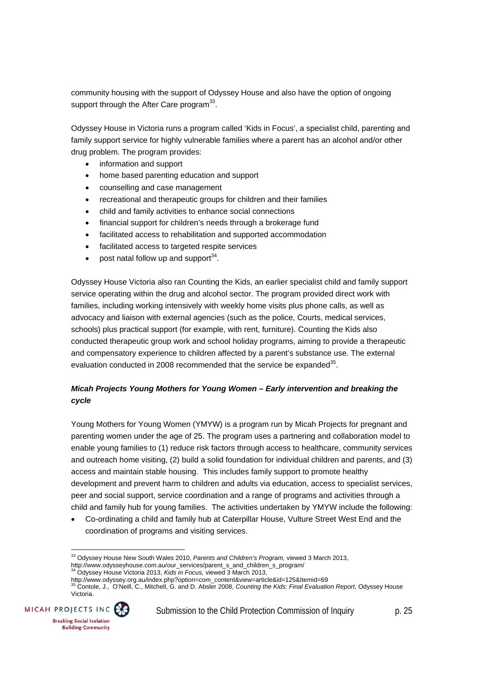community housing with the support of Odyssey House and also have the option of ongoing support through the After Care program<sup>33</sup>.

Odyssey House in Victoria runs a program called 'Kids in Focus', a specialist child, parenting and family support service for highly vulnerable families where a parent has an alcohol and/or other drug problem. The program provides:

- information and support
- home based parenting education and support
- counselling and case management
- recreational and therapeutic groups for children and their families
- child and family activities to enhance social connections
- financial support for children's needs through a brokerage fund
- facilitated access to rehabilitation and supported accommodation
- facilitated access to targeted respite services
- post natal follow up and support  $34$ .

Odyssey House Victoria also ran Counting the Kids, an earlier specialist child and family support service operating within the drug and alcohol sector. The program provided direct work with families, including working intensively with weekly home visits plus phone calls, as well as advocacy and liaison with external agencies (such as the police, Courts, medical services, schools) plus practical support (for example, with rent, furniture). Counting the Kids also conducted therapeutic group work and school holiday programs, aiming to provide a therapeutic and compensatory experience to children affected by a parent's substance use. The external evaluation conducted in 2008 recommended that the service be expanded<sup>35</sup>.

#### *Micah Projects Young Mothers for Young Women – Early intervention and breaking the cycle*

Young Mothers for Young Women (YMYW) is a program run by Micah Projects for pregnant and parenting women under the age of 25. The program uses a partnering and collaboration model to enable young families to (1) reduce risk factors through access to healthcare, community services and outreach home visiting, (2) build a solid foundation for individual children and parents, and (3) access and maintain stable housing. This includes family support to promote healthy development and prevent harm to children and adults via education, access to specialist services, peer and social support, service coordination and a range of programs and activities through a child and family hub for young families. The activities undertaken by YMYW include the following:

 Co-ordinating a child and family hub at Caterpillar House, Vulture Street West End and the coordination of programs and visiting services.

http://www.odyssey.org.au/index.php?option=com\_content&view=article&id=125&Itemid=69 35 Contole, J., O'Neill, C., Mitchell, G. and D. Absler 2008, *Counting the Kids: Final Evaluation Report*, Odyssey House Victoria.



<sup>33</sup> Odyssey House New South Wales 2010, *Parents and Children's Program,* viewed 3 March 2013,

http://www.odysseyhouse.com.au/our\_services/parent\_s\_and\_children\_s\_program/ 34 Odyssey House Victoria 2013, *Kids in Focus,* viewed 3 March 2013,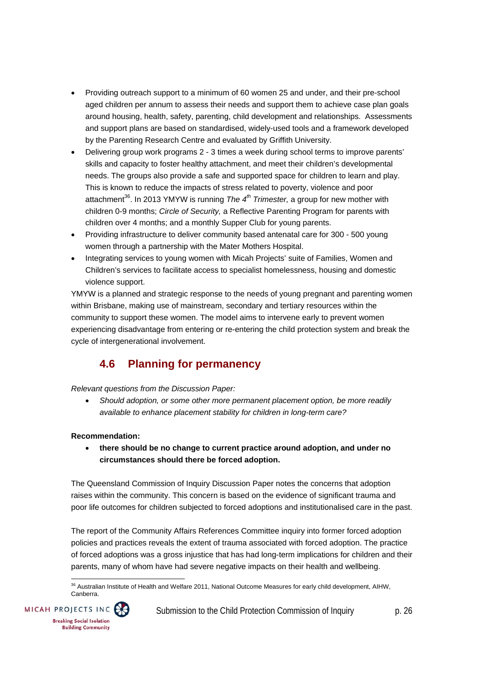- Providing outreach support to a minimum of 60 women 25 and under, and their pre-school aged children per annum to assess their needs and support them to achieve case plan goals around housing, health, safety, parenting, child development and relationships. Assessments and support plans are based on standardised, widely-used tools and a framework developed by the Parenting Research Centre and evaluated by Griffith University.
- Delivering group work programs 2 3 times a week during school terms to improve parents' skills and capacity to foster healthy attachment, and meet their children's developmental needs. The groups also provide a safe and supported space for children to learn and play. This is known to reduce the impacts of stress related to poverty, violence and poor attachment<sup>36</sup>. In 2013 YMYW is running *The 4<sup>th</sup> Trimester*, a group for new mother with children 0-9 months; *Circle of Security,* a Reflective Parenting Program for parents with children over 4 months; and a monthly Supper Club for young parents.
- Providing infrastructure to deliver community based antenatal care for 300 500 young women through a partnership with the Mater Mothers Hospital.
- Integrating services to young women with Micah Projects' suite of Families, Women and Children's services to facilitate access to specialist homelessness, housing and domestic violence support.

YMYW is a planned and strategic response to the needs of young pregnant and parenting women within Brisbane, making use of mainstream, secondary and tertiary resources within the community to support these women. The model aims to intervene early to prevent women experiencing disadvantage from entering or re-entering the child protection system and break the cycle of intergenerational involvement.

# **4.6 Planning for permanency**

#### *Relevant questions from the Discussion Paper:*

 *Should adoption, or some other more permanent placement option, be more readily available to enhance placement stability for children in long-term care?* 

#### **Recommendation:**

 **there should be no change to current practice around adoption, and under no circumstances should there be forced adoption.** 

The Queensland Commission of Inquiry Discussion Paper notes the concerns that adoption raises within the community. This concern is based on the evidence of significant trauma and poor life outcomes for children subjected to forced adoptions and institutionalised care in the past.

The report of the Community Affairs References Committee inquiry into former forced adoption policies and practices reveals the extent of trauma associated with forced adoption. The practice of forced adoptions was a gross injustice that has had long-term implications for children and their parents, many of whom have had severe negative impacts on their health and wellbeing.

  $^{36}$  Australian Institute of Health and Welfare 2011, National Outcome Measures for early child development, AIHW, Canberra.

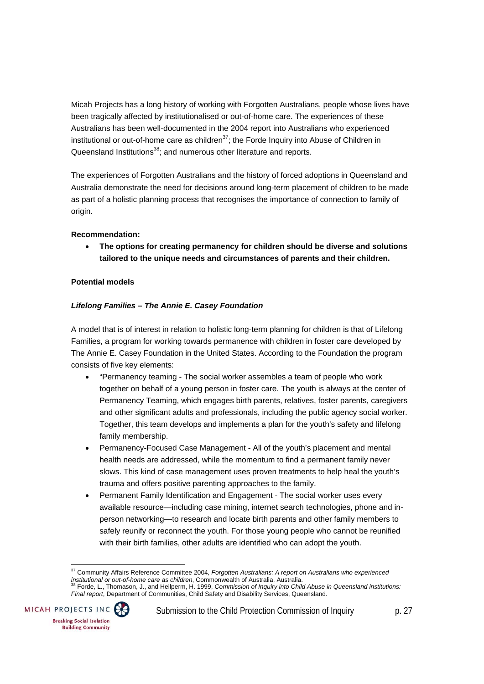Micah Projects has a long history of working with Forgotten Australians, people whose lives have been tragically affected by institutionalised or out-of-home care. The experiences of these Australians has been well-documented in the 2004 report into Australians who experienced institutional or out-of-home care as children<sup>37</sup>; the Forde Inquiry into Abuse of Children in Queensland Institutions<sup>38</sup>; and numerous other literature and reports.

The experiences of Forgotten Australians and the history of forced adoptions in Queensland and Australia demonstrate the need for decisions around long-term placement of children to be made as part of a holistic planning process that recognises the importance of connection to family of origin.

#### **Recommendation:**

 **The options for creating permanency for children should be diverse and solutions tailored to the unique needs and circumstances of parents and their children.** 

#### **Potential models**

#### *Lifelong Families – The Annie E. Casey Foundation*

A model that is of interest in relation to holistic long-term planning for children is that of Lifelong Families, a program for working towards permanence with children in foster care developed by The Annie E. Casey Foundation in the United States. According to the Foundation the program consists of five key elements:

- "Permanency teaming The social worker assembles a team of people who work together on behalf of a young person in foster care. The youth is always at the center of Permanency Teaming, which engages birth parents, relatives, foster parents, caregivers and other significant adults and professionals, including the public agency social worker. Together, this team develops and implements a plan for the youth's safety and lifelong family membership.
- Permanency-Focused Case Management All of the youth's placement and mental health needs are addressed, while the momentum to find a permanent family never slows. This kind of case management uses proven treatments to help heal the youth's trauma and offers positive parenting approaches to the family.
- Permanent Family Identification and Engagement The social worker uses every available resource—including case mining, internet search technologies, phone and inperson networking—to research and locate birth parents and other family members to safely reunify or reconnect the youth. For those young people who cannot be reunified with their birth families, other adults are identified who can adopt the youth.

*institutional or out-of-home care as children*, Commonwealth of Australia, Australia. 38 Forde, L., Thomason, J., and Heilperm, H. 1999, *Commission of Inquiry into Child Abuse in Queensland institutions: Final report*, Department of Communities, Child Safety and Disability Services, Queensland.



<sup>37</sup> Community Affairs Reference Committee 2004*, Forgotten Australians: A report on Australians who experienced*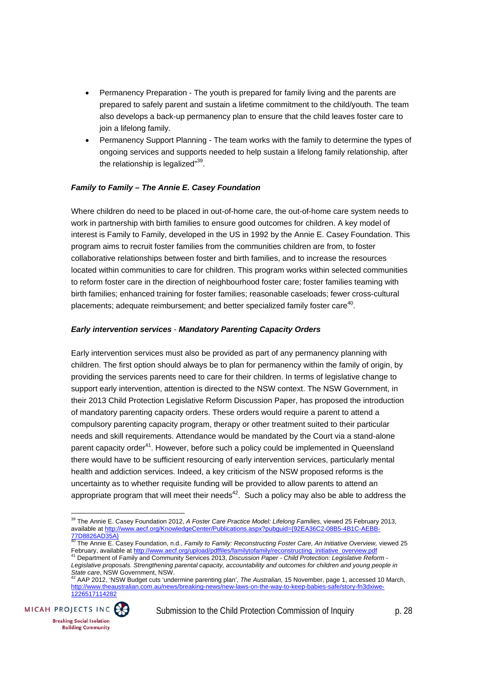- Permanency Preparation The youth is prepared for family living and the parents are prepared to safely parent and sustain a lifetime commitment to the child/youth. The team also develops a back-up permanency plan to ensure that the child leaves foster care to join a lifelong family.
- Permanency Support Planning The team works with the family to determine the types of ongoing services and supports needed to help sustain a lifelong family relationship, after the relationship is legalized"<sup>39</sup>.

#### *Family to Family – The Annie E. Casey Foundation*

Where children do need to be placed in out-of-home care, the out-of-home care system needs to work in partnership with birth families to ensure good outcomes for children. A key model of interest is Family to Family, developed in the US in 1992 by the Annie E. Casey Foundation. This program aims to recruit foster families from the communities children are from, to foster collaborative relationships between foster and birth families, and to increase the resources located within communities to care for children. This program works within selected communities to reform foster care in the direction of neighbourhood foster care; foster families teaming with birth families; enhanced training for foster families; reasonable caseloads; fewer cross-cultural placements; adequate reimbursement; and better specialized family foster care<sup>40</sup>.

#### *Early intervention services* - *Mandatory Parenting Capacity Orders*

Early intervention services must also be provided as part of any permanency planning with children. The first option should always be to plan for permanency within the family of origin, by providing the services parents need to care for their children. In terms of legislative change to support early intervention, attention is directed to the NSW context. The NSW Government, in their 2013 Child Protection Legislative Reform Discussion Paper, has proposed the introduction of mandatory parenting capacity orders. These orders would require a parent to attend a compulsory parenting capacity program, therapy or other treatment suited to their particular needs and skill requirements. Attendance would be mandated by the Court via a stand-alone parent capacity order<sup>41</sup>. However, before such a policy could be implemented in Queensland there would have to be sufficient resourcing of early intervention services, particularly mental health and addiction services. Indeed, a key criticism of the NSW proposed reforms is the uncertainty as to whether requisite funding will be provided to allow parents to attend an appropriate program that will meet their needs<sup>42</sup>. Such a policy may also be able to address the

AAP 2012, 'NSW Budget cuts 'undermine parenting plan', *The Australian*, 15 November, page 1, accessed 10 March, http://www.theaustralian.com.au/news/breaking-news/new-laws-on-the-way-to-keep-babies-safe/story-fn3dxiwe-1226517114282



 39 The Annie E. Casey Foundation 2012, *A Foster Care Practice Model: Lifelong Families*, viewed 25 February 2013, available at http://www.aecf.org/KnowledgeCenter/Publications.aspx?pubguid={92EA36C2-08B5-4B1C-AEBB-77D8826AD35A}

<sup>40</sup> The Annie E. Casey Foundation, n.d., *Family to Family: Reconstructing Foster Care, An Initiative Overview,* viewed 25 February, available at http://www.aecf.org/upload/pdffiles/familytofamily/reconstructing\_initiative\_overview.pdf<br><sup>41</sup> Department of Family and Community Services 2013, *Discussion Paper - Child Protection: Legislative Refo* 

*Legislative proposals. Strengthening parental capacity, accountability and outcomes for children and young people in*<br>State care, NSW Government, NSW.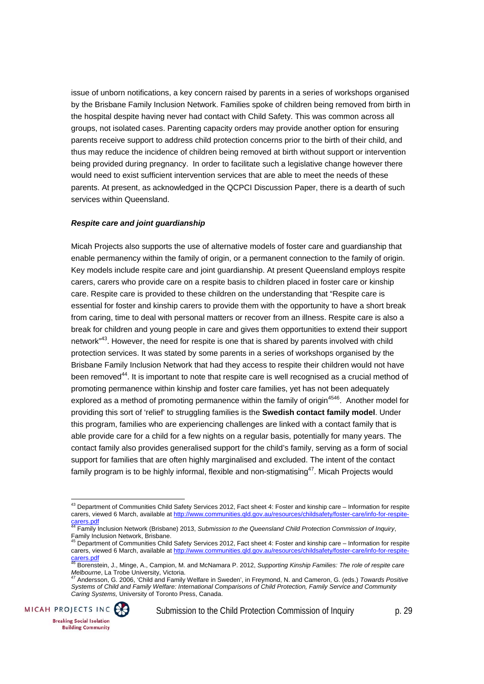issue of unborn notifications, a key concern raised by parents in a series of workshops organised by the Brisbane Family Inclusion Network. Families spoke of children being removed from birth in the hospital despite having never had contact with Child Safety. This was common across all groups, not isolated cases. Parenting capacity orders may provide another option for ensuring parents receive support to address child protection concerns prior to the birth of their child, and thus may reduce the incidence of children being removed at birth without support or intervention being provided during pregnancy. In order to facilitate such a legislative change however there would need to exist sufficient intervention services that are able to meet the needs of these parents. At present, as acknowledged in the QCPCI Discussion Paper, there is a dearth of such services within Queensland.

#### *Respite care and joint guardianship*

Micah Projects also supports the use of alternative models of foster care and guardianship that enable permanency within the family of origin, or a permanent connection to the family of origin. Key models include respite care and joint guardianship. At present Queensland employs respite carers, carers who provide care on a respite basis to children placed in foster care or kinship care. Respite care is provided to these children on the understanding that "Respite care is essential for foster and kinship carers to provide them with the opportunity to have a short break from caring, time to deal with personal matters or recover from an illness. Respite care is also a break for children and young people in care and gives them opportunities to extend their support network<sup>"43</sup>. However, the need for respite is one that is shared by parents involved with child protection services. It was stated by some parents in a series of workshops organised by the Brisbane Family Inclusion Network that had they access to respite their children would not have been removed<sup>44</sup>. It is important to note that respite care is well recognised as a crucial method of promoting permanence within kinship and foster care families, yet has not been adequately explored as a method of promoting permanence within the family of origin<sup>4546</sup>. Another model for providing this sort of 'relief' to struggling families is the **Swedish contact family model**. Under this program, families who are experiencing challenges are linked with a contact family that is able provide care for a child for a few nights on a regular basis, potentially for many years. The contact family also provides generalised support for the child's family, serving as a form of social support for families that are often highly marginalised and excluded. The intent of the contact family program is to be highly informal, flexible and non-stigmatising<sup>47</sup>. Micah Projects would

*Systems of Child and Family Welfare: International Comparisons of Child Protection, Family Service and Community Caring Systems,* University of Toronto Press, Canada.



 $43$  Department of Communities Child Safety Services 2012, Fact sheet 4: Foster and kinship care – Information for respite carers, viewed 6 March, available at http://www.communities.qld.gov.au/resources/childsafety/foster-care/info-for-respitecarers.pdf 44 Family Inclusion Network (Brisbane) 2013, *Submission to the Queensland Child Protection Commission of Inquiry*,

Family Inclusion Network, Brisbane.

<sup>45</sup> Department of Communities Child Safety Services 2012, Fact sheet 4: Foster and kinship care – Information for respite carers, viewed 6 March, available at http://www.communities.qld.gov.au/resources/childsafety/foster-care/info-for-respitecarers.pdf 46 Borenstein, J., Minge, A., Campion, M. and McNamara P. 2012, *Supporting Kinship Families: The role of respite care* 

Melbourne, La Trobe University, Victoria.<br><sup>47</sup> Andersson, G. 2006, 'Child and Family Welfare in Sweden', in Freymond, N. and Cameron, G. (eds.) *Towards Positive*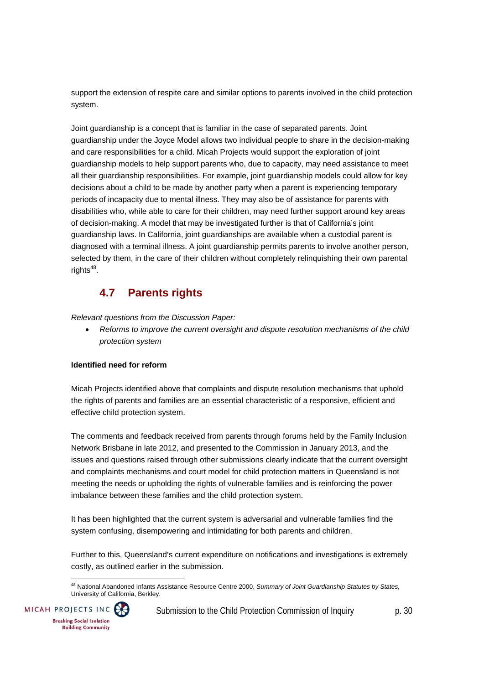support the extension of respite care and similar options to parents involved in the child protection system.

Joint guardianship is a concept that is familiar in the case of separated parents. Joint guardianship under the Joyce Model allows two individual people to share in the decision-making and care responsibilities for a child. Micah Projects would support the exploration of joint guardianship models to help support parents who, due to capacity, may need assistance to meet all their guardianship responsibilities. For example, joint guardianship models could allow for key decisions about a child to be made by another party when a parent is experiencing temporary periods of incapacity due to mental illness. They may also be of assistance for parents with disabilities who, while able to care for their children, may need further support around key areas of decision-making. A model that may be investigated further is that of California's joint guardianship laws. In California, joint guardianships are available when a custodial parent is diagnosed with a terminal illness. A joint guardianship permits parents to involve another person, selected by them, in the care of their children without completely relinquishing their own parental rights $48$ .

# **4.7 Parents rights**

*Relevant questions from the Discussion Paper:* 

 *Reforms to improve the current oversight and dispute resolution mechanisms of the child protection system* 

#### **Identified need for reform**

Micah Projects identified above that complaints and dispute resolution mechanisms that uphold the rights of parents and families are an essential characteristic of a responsive, efficient and effective child protection system.

The comments and feedback received from parents through forums held by the Family Inclusion Network Brisbane in late 2012, and presented to the Commission in January 2013, and the issues and questions raised through other submissions clearly indicate that the current oversight and complaints mechanisms and court model for child protection matters in Queensland is not meeting the needs or upholding the rights of vulnerable families and is reinforcing the power imbalance between these families and the child protection system.

It has been highlighted that the current system is adversarial and vulnerable families find the system confusing, disempowering and intimidating for both parents and children.

Further to this, Queensland's current expenditure on notifications and investigations is extremely costly, as outlined earlier in the submission.

 48 National Abandoned Infants Assistance Resource Centre 2000, *Summary of Joint Guardianship Statutes by States,*  University of California, Berkley.

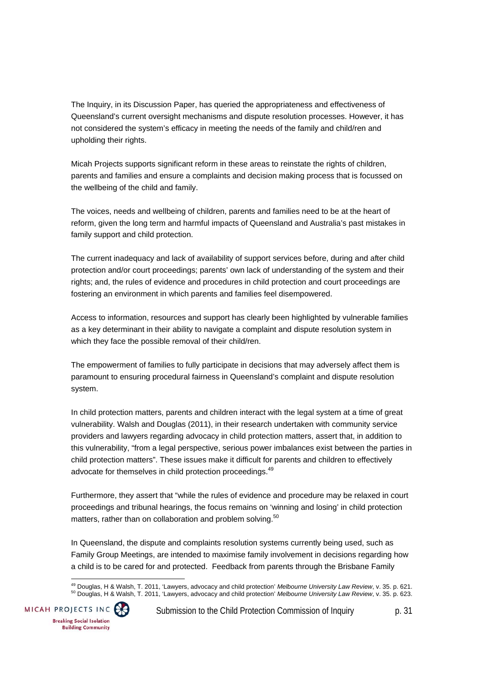The Inquiry, in its Discussion Paper, has queried the appropriateness and effectiveness of Queensland's current oversight mechanisms and dispute resolution processes. However, it has not considered the system's efficacy in meeting the needs of the family and child/ren and upholding their rights.

Micah Projects supports significant reform in these areas to reinstate the rights of children, parents and families and ensure a complaints and decision making process that is focussed on the wellbeing of the child and family.

The voices, needs and wellbeing of children, parents and families need to be at the heart of reform, given the long term and harmful impacts of Queensland and Australia's past mistakes in family support and child protection.

The current inadequacy and lack of availability of support services before, during and after child protection and/or court proceedings; parents' own lack of understanding of the system and their rights; and, the rules of evidence and procedures in child protection and court proceedings are fostering an environment in which parents and families feel disempowered.

Access to information, resources and support has clearly been highlighted by vulnerable families as a key determinant in their ability to navigate a complaint and dispute resolution system in which they face the possible removal of their child/ren.

The empowerment of families to fully participate in decisions that may adversely affect them is paramount to ensuring procedural fairness in Queensland's complaint and dispute resolution system.

In child protection matters, parents and children interact with the legal system at a time of great vulnerability. Walsh and Douglas (2011), in their research undertaken with community service providers and lawyers regarding advocacy in child protection matters, assert that, in addition to this vulnerability, "from a legal perspective, serious power imbalances exist between the parties in child protection matters". These issues make it difficult for parents and children to effectively advocate for themselves in child protection proceedings.<sup>49</sup>

Furthermore, they assert that "while the rules of evidence and procedure may be relaxed in court proceedings and tribunal hearings, the focus remains on 'winning and losing' in child protection matters, rather than on collaboration and problem solving.<sup>50</sup>

In Queensland, the dispute and complaints resolution systems currently being used, such as Family Group Meetings, are intended to maximise family involvement in decisions regarding how a child is to be cared for and protected. Feedback from parents through the Brisbane Family

<sup>49</sup> Doualas, H & Walsh, T. 2011, 'Lawyers, advocacy and child protection' Melbourne University Law Review, v. 35. p. 621. <sup>50</sup> Douglas, H & Walsh, T. 2011, 'Lawyers, advocacy and child protection' Melbourne University Law Review, v. 35. p. 623.

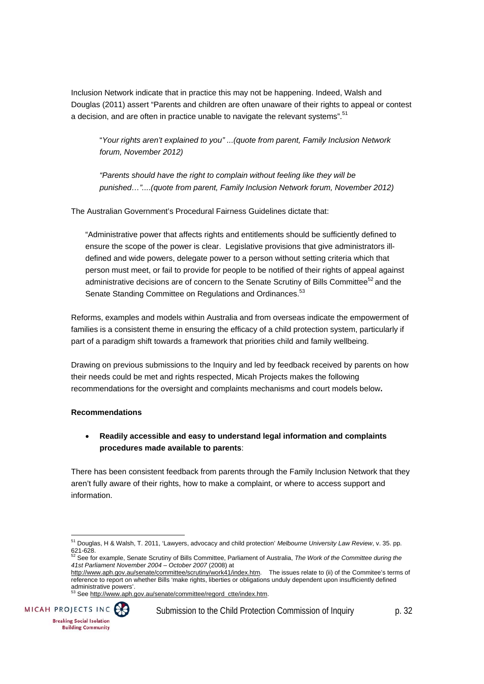Inclusion Network indicate that in practice this may not be happening. Indeed, Walsh and Douglas (2011) assert "Parents and children are often unaware of their rights to appeal or contest a decision, and are often in practice unable to navigate the relevant systems".<sup>51</sup>

"*Your rights aren't explained to you" ...(quote from parent, Family Inclusion Network forum, November 2012)* 

*"Parents should have the right to complain without feeling like they will be punished…"....(quote from parent, Family Inclusion Network forum, November 2012)* 

The Australian Government's Procedural Fairness Guidelines dictate that:

"Administrative power that affects rights and entitlements should be sufficiently defined to ensure the scope of the power is clear. Legislative provisions that give administrators illdefined and wide powers, delegate power to a person without setting criteria which that person must meet, or fail to provide for people to be notified of their rights of appeal against administrative decisions are of concern to the Senate Scrutiny of Bills Committee<sup>52</sup> and the Senate Standing Committee on Regulations and Ordinances.<sup>53</sup>

Reforms, examples and models within Australia and from overseas indicate the empowerment of families is a consistent theme in ensuring the efficacy of a child protection system, particularly if part of a paradigm shift towards a framework that priorities child and family wellbeing.

Drawing on previous submissions to the Inquiry and led by feedback received by parents on how their needs could be met and rights respected, Micah Projects makes the following recommendations for the oversight and complaints mechanisms and court models below**.**

#### **Recommendations**

#### **Readily accessible and easy to understand legal information and complaints procedures made available to parents**:

There has been consistent feedback from parents through the Family Inclusion Network that they aren't fully aware of their rights, how to make a complaint, or where to access support and information.



<sup>51</sup> Douglas, H & Walsh, T. 2011, 'Lawyers, advocacy and child protection' *Melbourne University Law Review*, v. 35. pp. 621-628.

<sup>52</sup> See for example, Senate Scrutiny of Bills Committee, Parliament of Australia, *The Work of the Committee during the 41st Parliament November 2004 – October 2007* (2008) at

http://www.aph.gov.au/senate/committee/scrutiny/work41/index.htm. The issues relate to (ii) of the Commitee's terms of reference to report on whether Bills 'make rights, liberties or obligations unduly dependent upon insufficiently defined administrative powers'.<br><sup>53</sup> See <u>http://www.aph.qov.au/senate/committee/reqord\_ctte/index.htm</u>.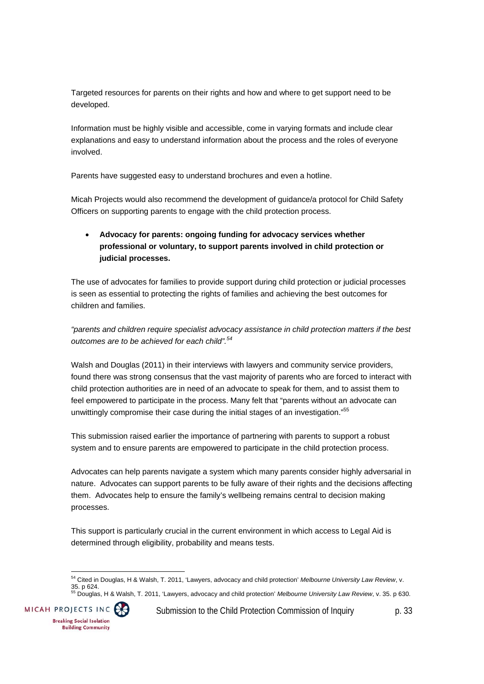Targeted resources for parents on their rights and how and where to get support need to be developed.

Information must be highly visible and accessible, come in varying formats and include clear explanations and easy to understand information about the process and the roles of everyone involved.

Parents have suggested easy to understand brochures and even a hotline.

Micah Projects would also recommend the development of guidance/a protocol for Child Safety Officers on supporting parents to engage with the child protection process.

### **Advocacy for parents: ongoing funding for advocacy services whether professional or voluntary, to support parents involved in child protection or judicial processes.**

The use of advocates for families to provide support during child protection or judicial processes is seen as essential to protecting the rights of families and achieving the best outcomes for children and families.

*"parents and children require specialist advocacy assistance in child protection matters if the best outcomes are to be achieved for each child".<sup>54</sup>*

Walsh and Douglas (2011) in their interviews with lawyers and community service providers, found there was strong consensus that the vast majority of parents who are forced to interact with child protection authorities are in need of an advocate to speak for them, and to assist them to feel empowered to participate in the process. Many felt that "parents without an advocate can unwittingly compromise their case during the initial stages of an investigation."<sup>55</sup>

This submission raised earlier the importance of partnering with parents to support a robust system and to ensure parents are empowered to participate in the child protection process.

Advocates can help parents navigate a system which many parents consider highly adversarial in nature. Advocates can support parents to be fully aware of their rights and the decisions affecting them. Advocates help to ensure the family's wellbeing remains central to decision making processes.

This support is particularly crucial in the current environment in which access to Legal Aid is determined through eligibility, probability and means tests.

35. p 624. 55 Douglas, H & Walsh, T. 2011, 'Lawyers, advocacy and child protection' *Melbourne University Law Review*, v. 35. p 630.



 54 Cited in Douglas, H & Walsh, T. 2011, 'Lawyers, advocacy and child protection' *Melbourne University Law Review*, v.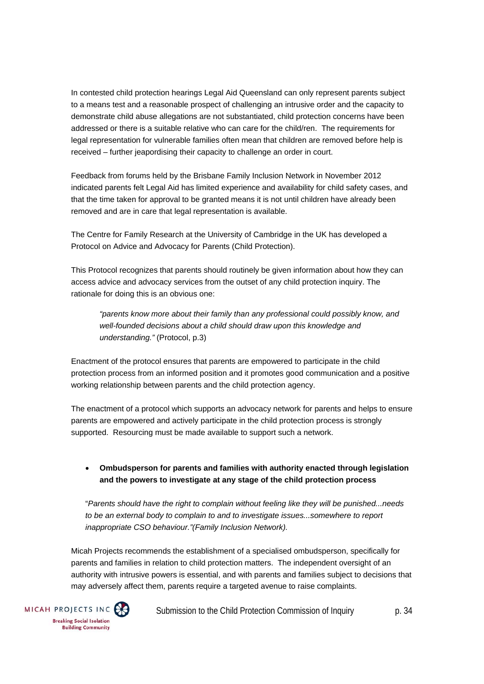In contested child protection hearings Legal Aid Queensland can only represent parents subject to a means test and a reasonable prospect of challenging an intrusive order and the capacity to demonstrate child abuse allegations are not substantiated, child protection concerns have been addressed or there is a suitable relative who can care for the child/ren. The requirements for legal representation for vulnerable families often mean that children are removed before help is received – further jeapordising their capacity to challenge an order in court.

Feedback from forums held by the Brisbane Family Inclusion Network in November 2012 indicated parents felt Legal Aid has limited experience and availability for child safety cases, and that the time taken for approval to be granted means it is not until children have already been removed and are in care that legal representation is available.

The Centre for Family Research at the University of Cambridge in the UK has developed a Protocol on Advice and Advocacy for Parents (Child Protection).

This Protocol recognizes that parents should routinely be given information about how they can access advice and advocacy services from the outset of any child protection inquiry. The rationale for doing this is an obvious one:

*"parents know more about their family than any professional could possibly know, and well-founded decisions about a child should draw upon this knowledge and understanding."* (Protocol, p.3)

Enactment of the protocol ensures that parents are empowered to participate in the child protection process from an informed position and it promotes good communication and a positive working relationship between parents and the child protection agency.

The enactment of a protocol which supports an advocacy network for parents and helps to ensure parents are empowered and actively participate in the child protection process is strongly supported. Resourcing must be made available to support such a network.

#### **Ombudsperson for parents and families with authority enacted through legislation and the powers to investigate at any stage of the child protection process**

"*Parents should have the right to complain without feeling like they will be punished...needs to be an external body to complain to and to investigate issues...somewhere to report inappropriate CSO behaviour."(Family Inclusion Network).* 

Micah Projects recommends the establishment of a specialised ombudsperson, specifically for parents and families in relation to child protection matters. The independent oversight of an authority with intrusive powers is essential, and with parents and families subject to decisions that may adversely affect them, parents require a targeted avenue to raise complaints.

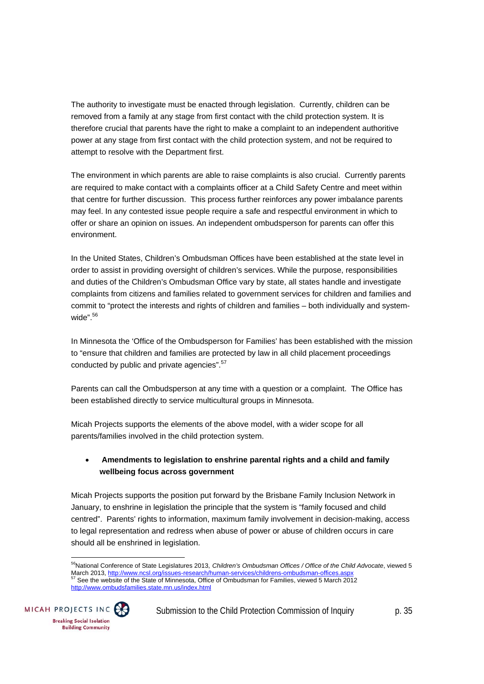The authority to investigate must be enacted through legislation. Currently, children can be removed from a family at any stage from first contact with the child protection system. It is therefore crucial that parents have the right to make a complaint to an independent authoritive power at any stage from first contact with the child protection system, and not be required to attempt to resolve with the Department first.

The environment in which parents are able to raise complaints is also crucial. Currently parents are required to make contact with a complaints officer at a Child Safety Centre and meet within that centre for further discussion. This process further reinforces any power imbalance parents may feel. In any contested issue people require a safe and respectful environment in which to offer or share an opinion on issues. An independent ombudsperson for parents can offer this environment.

In the United States, Children's Ombudsman Offices have been established at the state level in order to assist in providing oversight of children's services. While the purpose, responsibilities and duties of the Children's Ombudsman Office vary by state, all states handle and investigate complaints from citizens and families related to government services for children and families and commit to "protect the interests and rights of children and families – both individually and systemwide".<sup>56</sup>

In Minnesota the 'Office of the Ombudsperson for Families' has been established with the mission to "ensure that children and families are protected by law in all child placement proceedings conducted by public and private agencies".<sup>57</sup>

Parents can call the Ombudsperson at any time with a question or a complaint. The Office has been established directly to service multicultural groups in Minnesota.

Micah Projects supports the elements of the above model, with a wider scope for all parents/families involved in the child protection system.

#### **Amendments to legislation to enshrine parental rights and a child and family wellbeing focus across government**

Micah Projects supports the position put forward by the Brisbane Family Inclusion Network in January, to enshrine in legislation the principle that the system is "family focused and child centred". Parents' rights to information, maximum family involvement in decision-making, access to legal representation and redress when abuse of power or abuse of children occurs in care should all be enshrined in legislation.

 $\overline{a}$ 56National Conference of State Legislatures 2013, *Children's Ombudsman Offices / Office of the Child Advocate*, viewed 5 March 2013, http://www.ncsl.org/issues-research/human-services/childrens-ombudsman-offices.aspx 57 See the website of the State of Minnesota, Office of Ombudsman for Families, viewed 5 March 2012 http://www.ombudsfamilies.state.mn.us/index.html

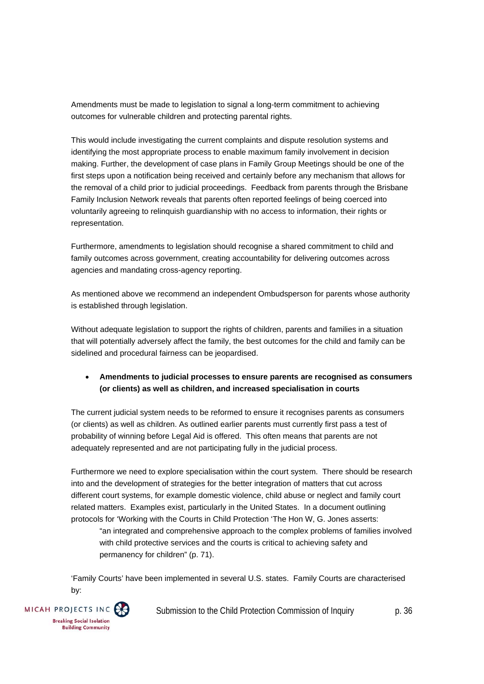Amendments must be made to legislation to signal a long-term commitment to achieving outcomes for vulnerable children and protecting parental rights.

This would include investigating the current complaints and dispute resolution systems and identifying the most appropriate process to enable maximum family involvement in decision making. Further, the development of case plans in Family Group Meetings should be one of the first steps upon a notification being received and certainly before any mechanism that allows for the removal of a child prior to judicial proceedings. Feedback from parents through the Brisbane Family Inclusion Network reveals that parents often reported feelings of being coerced into voluntarily agreeing to relinquish guardianship with no access to information, their rights or representation.

Furthermore, amendments to legislation should recognise a shared commitment to child and family outcomes across government, creating accountability for delivering outcomes across agencies and mandating cross-agency reporting.

As mentioned above we recommend an independent Ombudsperson for parents whose authority is established through legislation.

Without adequate legislation to support the rights of children, parents and families in a situation that will potentially adversely affect the family, the best outcomes for the child and family can be sidelined and procedural fairness can be jeopardised.

#### **Amendments to judicial processes to ensure parents are recognised as consumers (or clients) as well as children, and increased specialisation in courts**

The current judicial system needs to be reformed to ensure it recognises parents as consumers (or clients) as well as children. As outlined earlier parents must currently first pass a test of probability of winning before Legal Aid is offered. This often means that parents are not adequately represented and are not participating fully in the judicial process.

Furthermore we need to explore specialisation within the court system. There should be research into and the development of strategies for the better integration of matters that cut across different court systems, for example domestic violence, child abuse or neglect and family court related matters. Examples exist, particularly in the United States. In a document outlining protocols for 'Working with the Courts in Child Protection 'The Hon W, G. Jones asserts:

"an integrated and comprehensive approach to the complex problems of families involved with child protective services and the courts is critical to achieving safety and permanency for children" (p. 71).

'Family Courts' have been implemented in several U.S. states. Family Courts are characterised by:

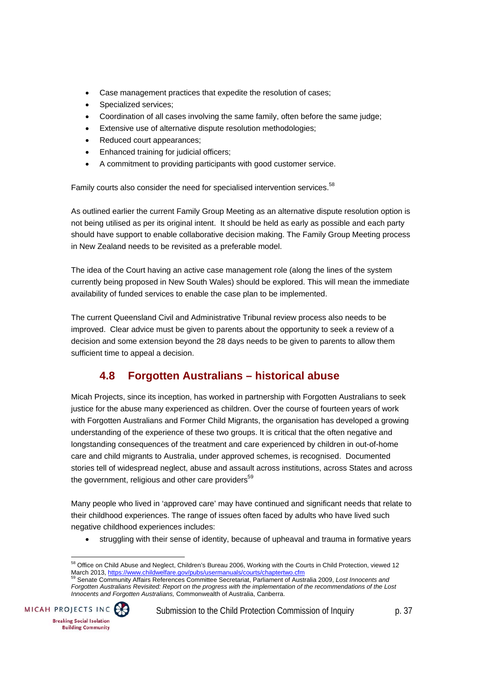- Case management practices that expedite the resolution of cases;
- Specialized services;
- Coordination of all cases involving the same family, often before the same judge;
- Extensive use of alternative dispute resolution methodologies;
- Reduced court appearances;
- Enhanced training for judicial officers;
- A commitment to providing participants with good customer service.

Family courts also consider the need for specialised intervention services.<sup>58</sup>

As outlined earlier the current Family Group Meeting as an alternative dispute resolution option is not being utilised as per its original intent. It should be held as early as possible and each party should have support to enable collaborative decision making. The Family Group Meeting process in New Zealand needs to be revisited as a preferable model.

The idea of the Court having an active case management role (along the lines of the system currently being proposed in New South Wales) should be explored. This will mean the immediate availability of funded services to enable the case plan to be implemented.

The current Queensland Civil and Administrative Tribunal review process also needs to be improved. Clear advice must be given to parents about the opportunity to seek a review of a decision and some extension beyond the 28 days needs to be given to parents to allow them sufficient time to appeal a decision.

# **4.8 Forgotten Australians – historical abuse**

Micah Projects, since its inception, has worked in partnership with Forgotten Australians to seek justice for the abuse many experienced as children. Over the course of fourteen years of work with Forgotten Australians and Former Child Migrants, the organisation has developed a growing understanding of the experience of these two groups. It is critical that the often negative and longstanding consequences of the treatment and care experienced by children in out-of-home care and child migrants to Australia, under approved schemes, is recognised. Documented stories tell of widespread neglect, abuse and assault across institutions, across States and across the government, religious and other care providers $59$ 

Many people who lived in 'approved care' may have continued and significant needs that relate to their childhood experiences. The range of issues often faced by adults who have lived such negative childhood experiences includes:

struggling with their sense of identity, because of upheaval and trauma in formative years

*Forgotten Australians Revisited: Report on the progress with the implementation of the recommendations of the Lost Innocents and Forgotten Australians,* Commonwealth of Australia, Canberra.



 <sup>58</sup> Office on Child Abuse and Neglect, Children's Bureau 2006, Working with the Courts in Child Protection, viewed 12 March 2013, https://www.childwelfare.gov/pubs/usermanuals/courts/chaptertwo.cfm<br><sup>59</sup> Senate Community Affairs References Committee Secretariat, Parliament of Australia 2009, *Lost Innocents and*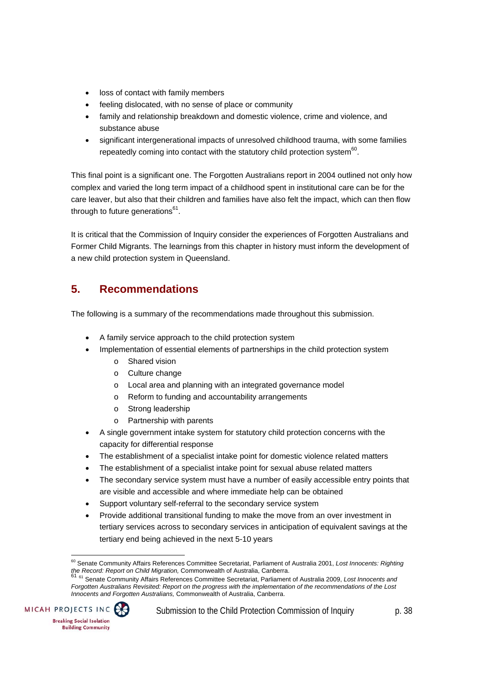- loss of contact with family members
- feeling dislocated, with no sense of place or community
- family and relationship breakdown and domestic violence, crime and violence, and substance abuse
- significant intergenerational impacts of unresolved childhood trauma, with some families repeatedly coming into contact with the statutory child protection system $60$ .

This final point is a significant one. The Forgotten Australians report in 2004 outlined not only how complex and varied the long term impact of a childhood spent in institutional care can be for the care leaver, but also that their children and families have also felt the impact, which can then flow through to future generations $<sup>61</sup>$ .</sup>

It is critical that the Commission of Inquiry consider the experiences of Forgotten Australians and Former Child Migrants. The learnings from this chapter in history must inform the development of a new child protection system in Queensland.

# **5. Recommendations**

The following is a summary of the recommendations made throughout this submission.

- A family service approach to the child protection system
- Implementation of essential elements of partnerships in the child protection system
	- o Shared vision
	- o Culture change
	- o Local area and planning with an integrated governance model
	- o Reform to funding and accountability arrangements
	- o Strong leadership
	- o Partnership with parents
- A single government intake system for statutory child protection concerns with the capacity for differential response
- The establishment of a specialist intake point for domestic violence related matters
- The establishment of a specialist intake point for sexual abuse related matters
- The secondary service system must have a number of easily accessible entry points that are visible and accessible and where immediate help can be obtained
- Support voluntary self-referral to the secondary service system
- Provide additional transitional funding to make the move from an over investment in tertiary services across to secondary services in anticipation of equivalent savings at the tertiary end being achieved in the next 5-10 years

*Forgotten Australians Revisited: Report on the progress with the implementation of the recommendations of the Lost Innocents and Forgotten Australians,* Commonwealth of Australia, Canberra.



 60 Senate Community Affairs References Committee Secretariat, Parliament of Australia 2001, *Lost Innocents: Righting the Record: Report on Child Migration,* Commonwealth of Australia, Canberra. <sup>61</sup> 61 Senate Community Affairs References Committee Secretariat, Parliament of Australia 2009, *Lost Innocents and*